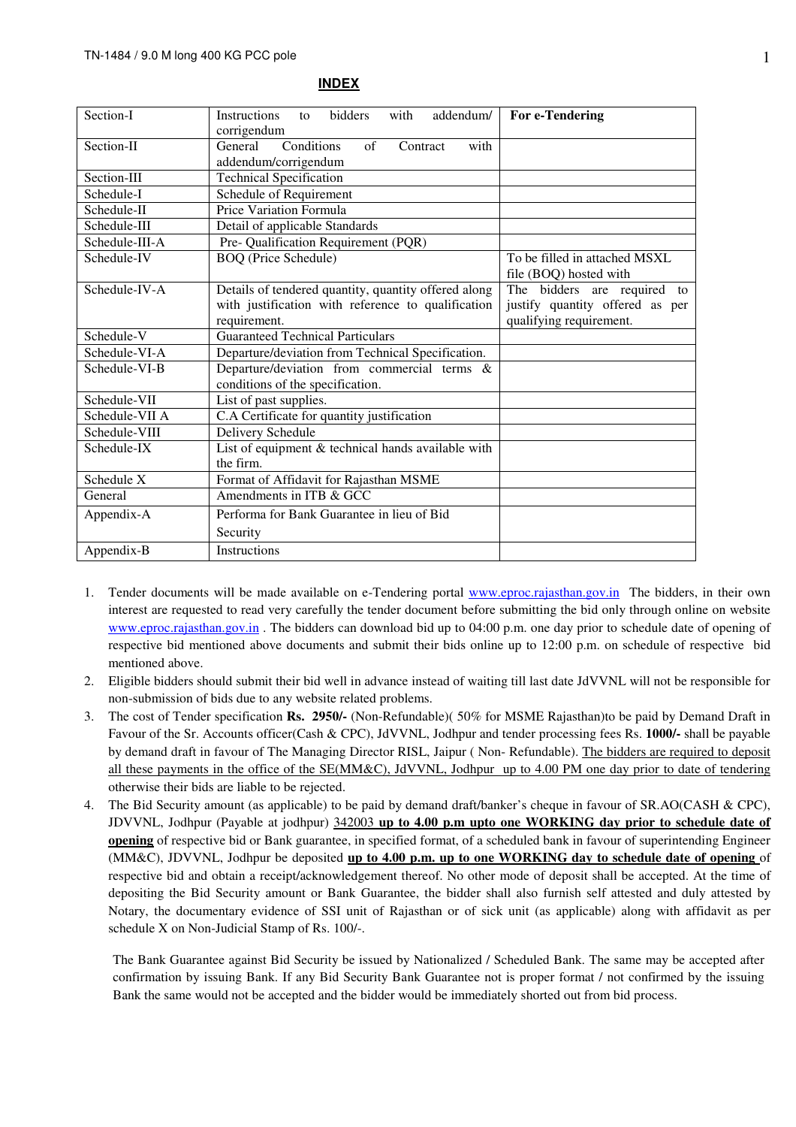| Section-I      | <b>Instructions</b><br>bidders<br>with<br>addendum/<br>to               | For e-Tendering                 |  |
|----------------|-------------------------------------------------------------------------|---------------------------------|--|
|                | corrigendum                                                             |                                 |  |
| Section-II     | Conditions<br>of<br>General<br>with<br>Contract<br>addendum/corrigendum |                                 |  |
| Section-III    | <b>Technical Specification</b>                                          |                                 |  |
| Schedule-I     | Schedule of Requirement                                                 |                                 |  |
| Schedule-II    | <b>Price Variation Formula</b>                                          |                                 |  |
| Schedule-III   | Detail of applicable Standards                                          |                                 |  |
| Schedule-III-A | Pre- Qualification Requirement (PQR)                                    |                                 |  |
| Schedule-IV    | <b>BOQ</b> (Price Schedule)                                             | To be filled in attached MSXL   |  |
|                |                                                                         | file (BOQ) hosted with          |  |
| Schedule-IV-A  | Details of tendered quantity, quantity offered along                    | The bidders are required to     |  |
|                | with justification with reference to qualification                      | justify quantity offered as per |  |
|                | qualifying requirement.<br>requirement.                                 |                                 |  |
| Schedule-V     | <b>Guaranteed Technical Particulars</b>                                 |                                 |  |
| Schedule-VI-A  | Departure/deviation from Technical Specification.                       |                                 |  |
| Schedule-VI-B  | Departure/deviation from commercial terms &                             |                                 |  |
|                | conditions of the specification.                                        |                                 |  |
| Schedule-VII   | List of past supplies.                                                  |                                 |  |
| Schedule-VII A | C.A Certificate for quantity justification                              |                                 |  |
| Schedule-VIII  | Delivery Schedule                                                       |                                 |  |
| Schedule-IX    | List of equipment & technical hands available with                      |                                 |  |
|                | the firm.                                                               |                                 |  |
| Schedule X     | Format of Affidavit for Rajasthan MSME                                  |                                 |  |
| General        | Amendments in ITB & GCC                                                 |                                 |  |
| Appendix-A     | Performa for Bank Guarantee in lieu of Bid                              |                                 |  |
|                | Security                                                                |                                 |  |
| Appendix-B     | <b>Instructions</b>                                                     |                                 |  |

#### **INDEX**

- 1. Tender documents will be made available on e-Tendering portal www.eproc.rajasthan.gov.in The bidders, in their own interest are requested to read very carefully the tender document before submitting the bid only through online on website www.eproc.rajasthan.gov.in . The bidders can download bid up to 04:00 p.m. one day prior to schedule date of opening of respective bid mentioned above documents and submit their bids online up to 12:00 p.m. on schedule of respective bid mentioned above.
- 2. Eligible bidders should submit their bid well in advance instead of waiting till last date JdVVNL will not be responsible for non-submission of bids due to any website related problems.
- 3. The cost of Tender specification **Rs. 2950/-** (Non-Refundable)( 50% for MSME Rajasthan)to be paid by Demand Draft in Favour of the Sr. Accounts officer(Cash & CPC), JdVVNL, Jodhpur and tender processing fees Rs. **1000/-** shall be payable by demand draft in favour of The Managing Director RISL, Jaipur (Non-Refundable). The bidders are required to deposit all these payments in the office of the SE(MM&C), JdVVNL, Jodhpur up to 4.00 PM one day prior to date of tendering otherwise their bids are liable to be rejected.
- 4. The Bid Security amount (as applicable) to be paid by demand draft/banker's cheque in favour of SR.AO(CASH & CPC), JDVVNL, Jodhpur (Payable at jodhpur) 342003 **up to 4.00 p.m upto one WORKING day prior to schedule date of opening** of respective bid or Bank guarantee, in specified format, of a scheduled bank in favour of superintending Engineer (MM&C), JDVVNL, Jodhpur be deposited **up to 4.00 p.m. up to one WORKING day to schedule date of opening** of respective bid and obtain a receipt/acknowledgement thereof. No other mode of deposit shall be accepted. At the time of depositing the Bid Security amount or Bank Guarantee, the bidder shall also furnish self attested and duly attested by Notary, the documentary evidence of SSI unit of Rajasthan or of sick unit (as applicable) along with affidavit as per schedule X on Non-Judicial Stamp of Rs. 100/-.

The Bank Guarantee against Bid Security be issued by Nationalized / Scheduled Bank. The same may be accepted after confirmation by issuing Bank. If any Bid Security Bank Guarantee not is proper format / not confirmed by the issuing Bank the same would not be accepted and the bidder would be immediately shorted out from bid process.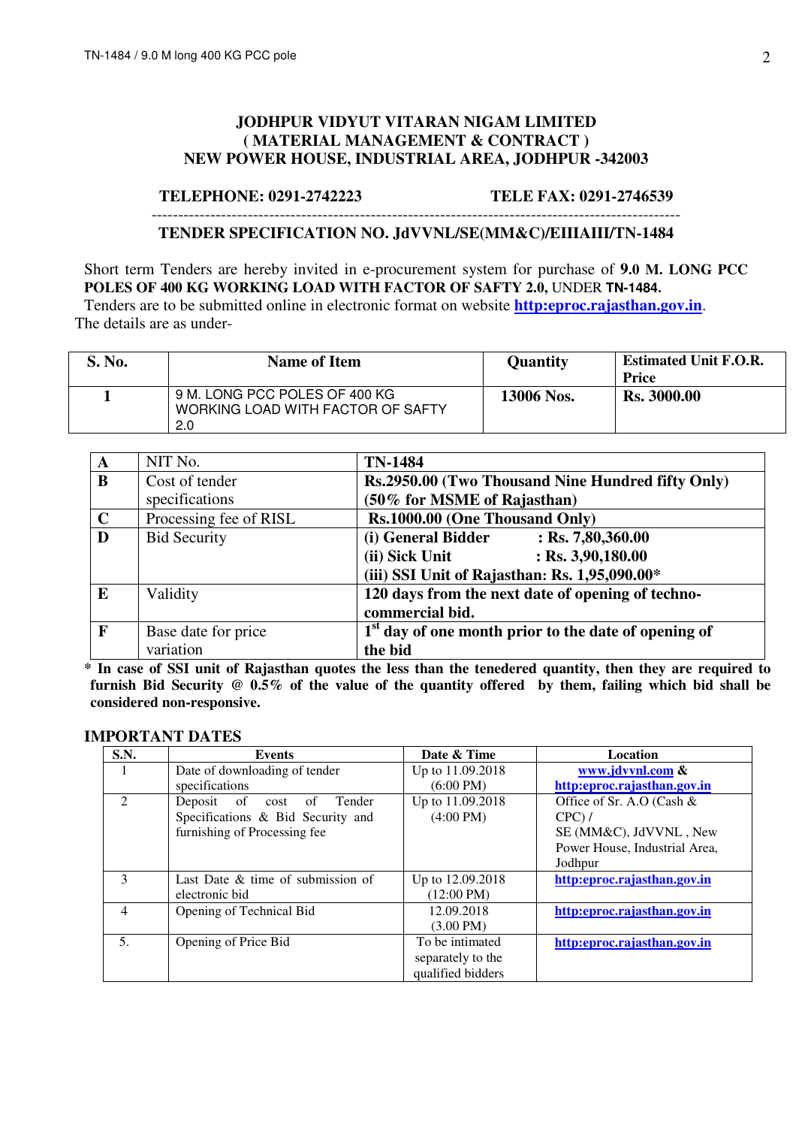### **JODHPUR VIDYUT VITARAN NIGAM LIMITED ( MATERIAL MANAGEMENT & CONTRACT ) NEW POWER HOUSE, INDUSTRIAL AREA, JODHPUR -342003**

#### **TELEPHONE: 0291-2742223 TELE FAX: 0291-2746539**

# ---------------------------------------------------------------------------------------------------

#### **TENDER SPECIFICATION NO. JdVVNL/SE(MM&C)/EIIIAIII/TN-1484**

Short term Tenders are hereby invited in e-procurement system for purchase of **9.0 M. LONG PCC POLES OF 400 KG WORKING LOAD WITH FACTOR OF SAFTY 2.0,** UNDER **TN-1484.** 

Tenders are to be submitted online in electronic format on website **http:eproc.rajasthan.gov.in**. The details are as under-

| S. No. | <b>Name of Item</b>                                                       | <b>Quantity</b> | <b>Estimated Unit F.O.R.</b><br>Price |
|--------|---------------------------------------------------------------------------|-----------------|---------------------------------------|
|        | 9 M. LONG PCC POLES OF 400 KG<br>WORKING LOAD WITH FACTOR OF SAFTY<br>2.0 | 13006 Nos.      | <b>Rs. 3000.00</b>                    |

| A            | NIT No.                | <b>TN-1484</b>                                                   |
|--------------|------------------------|------------------------------------------------------------------|
| B            | Cost of tender         | Rs.2950.00 (Two Thousand Nine Hundred fifty Only)                |
|              | specifications         | (50% for MSME of Rajasthan)                                      |
| $\mathbf C$  | Processing fee of RISL | Rs.1000.00 (One Thousand Only)                                   |
| D            | <b>Bid Security</b>    | (i) General Bidder<br>$:$ Rs. 7,80,360.00                        |
|              |                        | $:$ Rs. 3,90,180.00<br>(ii) Sick Unit                            |
|              |                        | (iii) SSI Unit of Rajasthan: Rs. 1,95,090.00*                    |
| E            | Validity               | 120 days from the next date of opening of techno-                |
|              |                        | commercial bid.                                                  |
| $\mathbf{F}$ | Base date for price    | 1 <sup>st</sup> day of one month prior to the date of opening of |
|              | variation              | the bid                                                          |

**\* In case of SSI unit of Rajasthan quotes the less than the tenedered quantity, then they are required to furnish Bid Security @ 0.5% of the value of the quantity offered by them, failing which bid shall be considered non-responsive.** 

#### **IMPORTANT DATES**

| S.N.                        | <b>Events</b>                                 | Date & Time          | Location                      |
|-----------------------------|-----------------------------------------------|----------------------|-------------------------------|
|                             | Date of downloading of tender                 | Up to 11.09.2018     | www.jdvvnl.com &              |
|                             | specifications                                | $(6:00 \text{ PM})$  | http:eproc.rajasthan.gov.in   |
| $\mathcal{D}_{\mathcal{L}}$ | <sub>of</sub><br>Tender<br>Deposit<br>cost of | Up to 11.09.2018     | Office of Sr. A.O (Cash $&$   |
|                             | Specifications & Bid Security and             | $(4:00 \text{ PM})$  | $CPC$ ) /                     |
|                             | furnishing of Processing fee                  |                      | SE (MM&C), JdVVNL, New        |
|                             |                                               |                      | Power House, Industrial Area, |
|                             |                                               |                      | Jodhpur                       |
| $\mathbf{3}$                | Last Date $&$ time of submission of           | Up to 12.09.2018     | http:eproc.rajasthan.gov.in   |
|                             | electronic bid                                | $(12:00 \text{ PM})$ |                               |
| $\overline{4}$              | Opening of Technical Bid                      | 12.09.2018           | http:eproc.rajasthan.gov.in   |
|                             |                                               | $(3.00 \text{ PM})$  |                               |
| 5.                          | Opening of Price Bid                          | To be intimated      | http:eproc.rajasthan.gov.in   |
|                             |                                               | separately to the    |                               |
|                             |                                               | qualified bidders    |                               |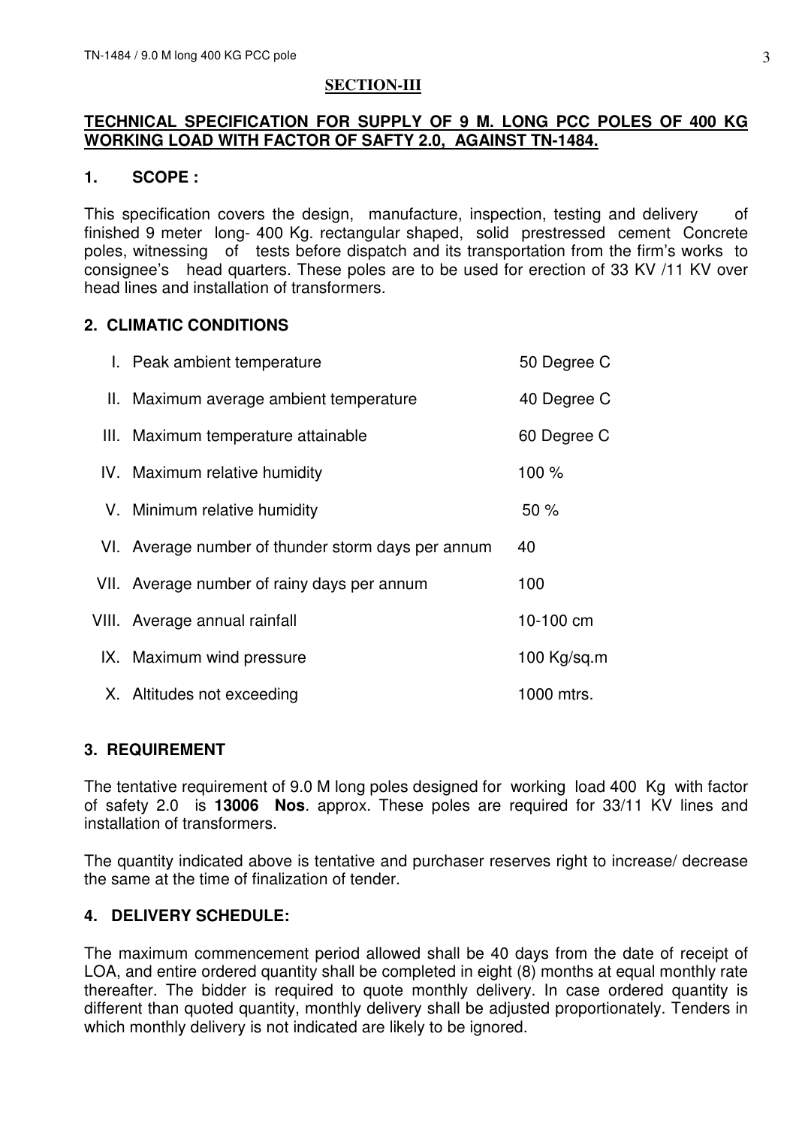### **SECTION-III**

## **TECHNICAL SPECIFICATION FOR SUPPLY OF 9 M. LONG PCC POLES OF 400 KG WORKING LOAD WITH FACTOR OF SAFTY 2.0, AGAINST TN-1484.**

## **1. SCOPE :**

This specification covers the design, manufacture, inspection, testing and delivery of finished 9 meter long- 400 Kg. rectangular shaped, solid prestressed cement Concrete poles, witnessing of tests before dispatch and its transportation from the firm's works to consignee's head quarters. These poles are to be used for erection of 33 KV /11 KV over head lines and installation of transformers.

## **2. CLIMATIC CONDITIONS**

| I. Peak ambient temperature                        | 50 Degree C |
|----------------------------------------------------|-------------|
| II. Maximum average ambient temperature            | 40 Degree C |
| III. Maximum temperature attainable                | 60 Degree C |
| IV. Maximum relative humidity                      | 100 %       |
| V. Minimum relative humidity                       | 50%         |
| VI. Average number of thunder storm days per annum | 40          |
| VII. Average number of rainy days per annum        | 100         |
| VIII. Average annual rainfall                      | 10-100 cm   |
| IX. Maximum wind pressure                          | 100 Kg/sq.m |
| X. Altitudes not exceeding                         | 1000 mtrs.  |

## **3. REQUIREMENT**

The tentative requirement of 9.0 M long poles designed for working load 400 Kg with factor of safety 2.0 is **13006 Nos**. approx. These poles are required for 33/11 KV lines and installation of transformers.

The quantity indicated above is tentative and purchaser reserves right to increase/ decrease the same at the time of finalization of tender.

## **4. DELIVERY SCHEDULE:**

The maximum commencement period allowed shall be 40 days from the date of receipt of LOA, and entire ordered quantity shall be completed in eight (8) months at equal monthly rate thereafter. The bidder is required to quote monthly delivery. In case ordered quantity is different than quoted quantity, monthly delivery shall be adjusted proportionately. Tenders in which monthly delivery is not indicated are likely to be ignored.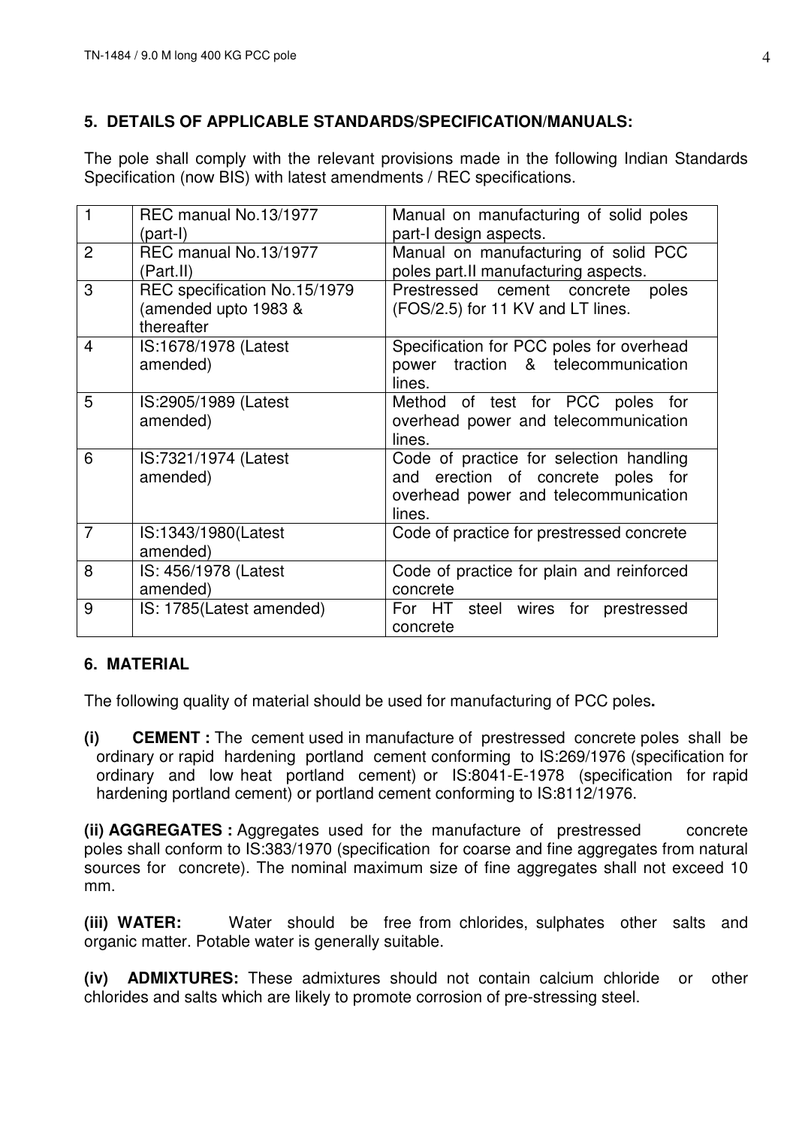## **5. DETAILS OF APPLICABLE STANDARDS/SPECIFICATION/MANUALS:**

The pole shall comply with the relevant provisions made in the following Indian Standards Specification (now BIS) with latest amendments / REC specifications.

|                | REC manual No.13/1977        | Manual on manufacturing of solid poles    |
|----------------|------------------------------|-------------------------------------------|
|                | (part-I)                     | part-I design aspects.                    |
| $\overline{2}$ | REC manual No.13/1977        | Manual on manufacturing of solid PCC      |
|                | (Part.II)                    | poles part.II manufacturing aspects.      |
| 3              | REC specification No.15/1979 | Prestressed cement concrete<br>poles      |
|                | (amended upto 1983 &         | (FOS/2.5) for 11 KV and LT lines.         |
|                | thereafter                   |                                           |
| 4              | IS:1678/1978 (Latest         | Specification for PCC poles for overhead  |
|                | amended)                     | traction & telecommunication<br>power     |
|                |                              | lines.                                    |
| 5              | IS:2905/1989 (Latest         | Method of test for PCC poles for          |
|                | amended)                     | overhead power and telecommunication      |
|                |                              | lines.                                    |
| 6              | IS:7321/1974 (Latest         | Code of practice for selection handling   |
|                | amended)                     | and erection of concrete poles for        |
|                |                              | overhead power and telecommunication      |
|                |                              | lines.                                    |
| $\overline{7}$ | IS:1343/1980(Latest          | Code of practice for prestressed concrete |
|                | amended)                     |                                           |
| 8              | IS: 456/1978 (Latest         | Code of practice for plain and reinforced |
|                | amended)                     | concrete                                  |
| 9              | IS: 1785(Latest amended)     | For HT<br>steel wires for<br>prestressed  |
|                |                              | concrete                                  |

## **6. MATERIAL**

The following quality of material should be used for manufacturing of PCC poles**.** 

**(i) CEMENT :** The cement used in manufacture of prestressed concrete poles shall be ordinary or rapid hardening portland cement conforming to IS:269/1976 (specification for ordinary and low heat portland cement) or IS:8041-E-1978 (specification for rapid hardening portland cement) or portland cement conforming to IS:8112/1976.

**(ii) AGGREGATES :** Aggregates used for the manufacture of prestressed concrete poles shall conform to IS:383/1970 (specification for coarse and fine aggregates from natural sources for concrete). The nominal maximum size of fine aggregates shall not exceed 10 mm.

**(iii) WATER:** Water should be free from chlorides, sulphates other salts and organic matter. Potable water is generally suitable.

**(iv) ADMIXTURES:** These admixtures should not contain calcium chloride or other chlorides and salts which are likely to promote corrosion of pre-stressing steel.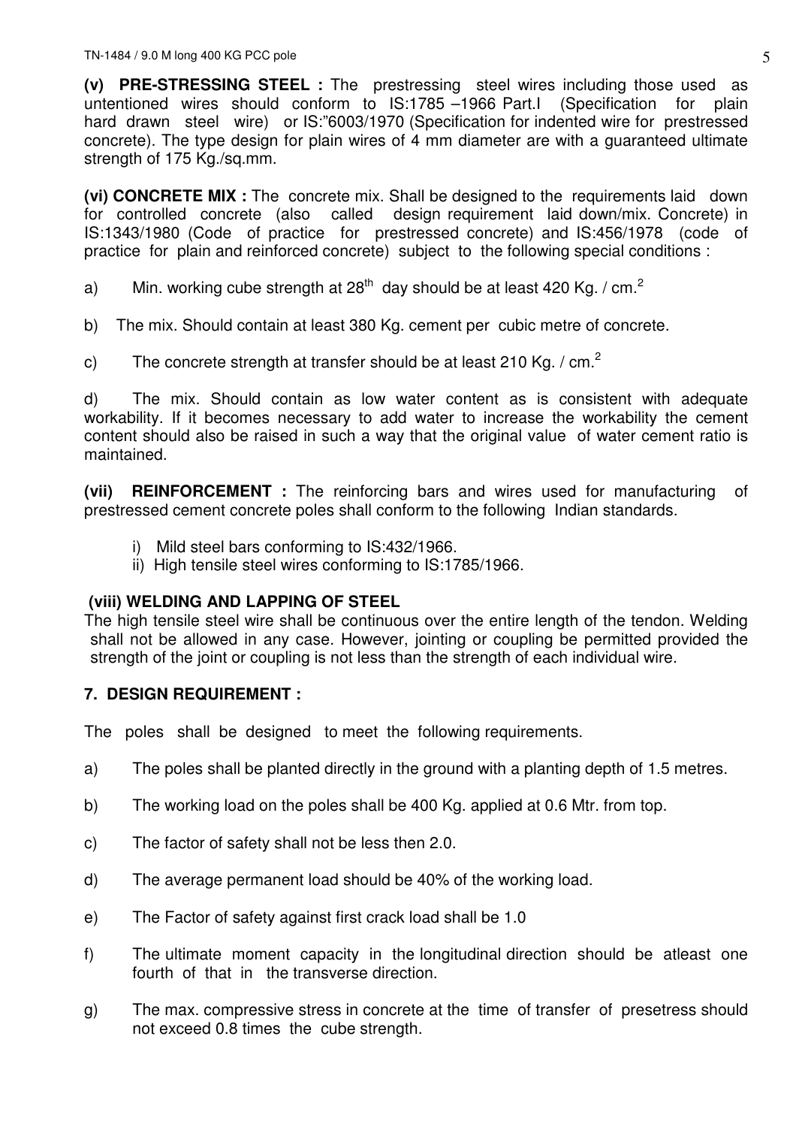**(v) PRE-STRESSING STEEL :** The prestressing steel wires including those used as untentioned wires should conform to IS:1785 –1966 Part.I (Specification for plain hard drawn steel wire) or IS:"6003/1970 (Specification for indented wire for prestressed concrete). The type design for plain wires of 4 mm diameter are with a guaranteed ultimate strength of 175 Kg./sq.mm.

**(vi) CONCRETE MIX :** The concrete mix. Shall be designed to the requirements laid down for controlled concrete (also called design requirement laid down/mix. Concrete) in IS:1343/1980 (Code of practice for prestressed concrete) and IS:456/1978 (code of practice for plain and reinforced concrete) subject to the following special conditions :

- a) Min. working cube strength at 28<sup>th</sup> day should be at least 420 Kg. / cm.<sup>2</sup>
- b) The mix. Should contain at least 380 Kg. cement per cubic metre of concrete.
- c) The concrete strength at transfer should be at least 210 Kg. / cm. $<sup>2</sup>$ </sup>

d) The mix. Should contain as low water content as is consistent with adequate workability. If it becomes necessary to add water to increase the workability the cement content should also be raised in such a way that the original value of water cement ratio is maintained.

**(vii) REINFORCEMENT :** The reinforcing bars and wires used for manufacturing of prestressed cement concrete poles shall conform to the following Indian standards.

- i) Mild steel bars conforming to IS:432/1966.
- ii) High tensile steel wires conforming to IS:1785/1966.

## **(viii) WELDING AND LAPPING OF STEEL**

The high tensile steel wire shall be continuous over the entire length of the tendon. Welding shall not be allowed in any case. However, jointing or coupling be permitted provided the strength of the joint or coupling is not less than the strength of each individual wire.

## **7. DESIGN REQUIREMENT :**

The poles shall be designed to meet the following requirements.

- a) The poles shall be planted directly in the ground with a planting depth of 1.5 metres.
- b) The working load on the poles shall be 400 Kg. applied at 0.6 Mtr. from top.
- c) The factor of safety shall not be less then 2.0.
- d) The average permanent load should be 40% of the working load.
- e) The Factor of safety against first crack load shall be 1.0
- f) The ultimate moment capacity in the longitudinal direction should be atleast one fourth of that in the transverse direction.
- g) The max. compressive stress in concrete at the time of transfer of presetress should not exceed 0.8 times the cube strength.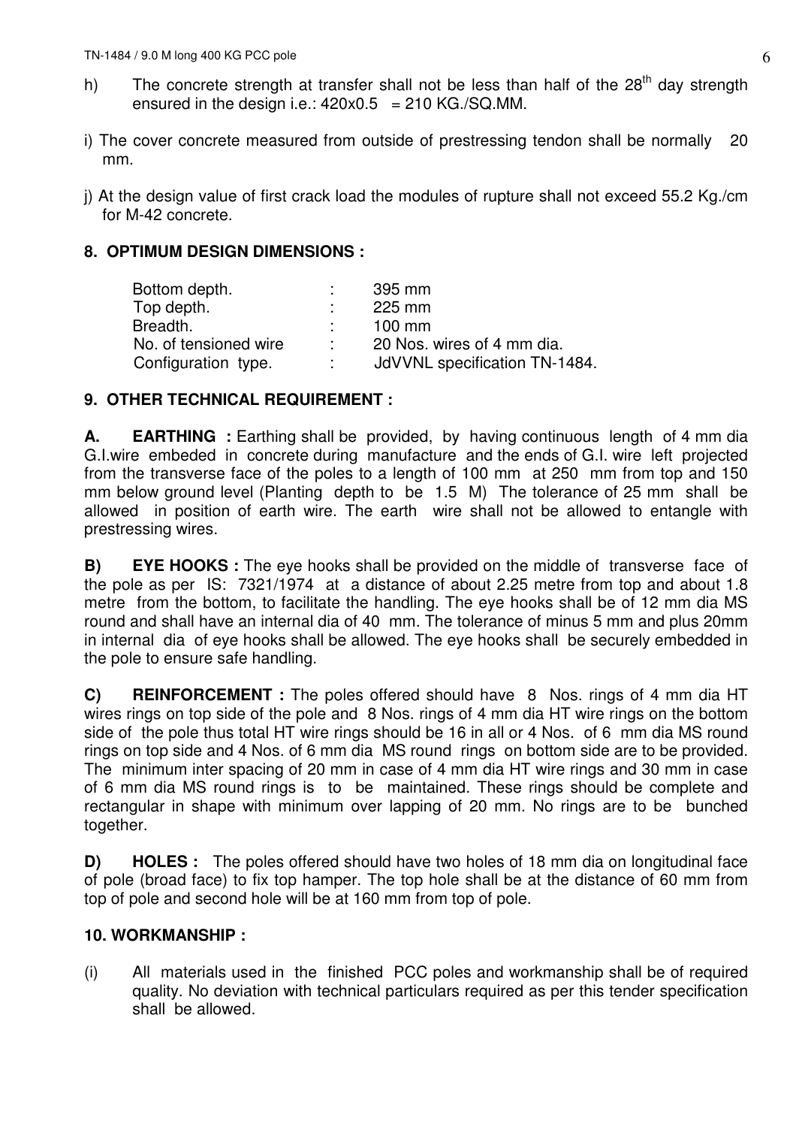- h) The concrete strength at transfer shall not be less than half of the  $28<sup>th</sup>$  day strength ensured in the design i.e.:  $420x0.5 = 210$  KG./SQ.MM.
- i) The cover concrete measured from outside of prestressing tendon shall be normally 20 mm.
- j) At the design value of first crack load the modules of rupture shall not exceed 55.2 Kg./cm for M-42 concrete.

## **8. OPTIMUM DESIGN DIMENSIONS :**

| 395 mm                        |
|-------------------------------|
| 225 mm                        |
| $100 \text{ mm}$              |
| 20 Nos. wires of 4 mm dia.    |
| JdVVNL specification TN-1484. |
|                               |

## **9. OTHER TECHNICAL REQUIREMENT :**

**A. EARTHING** : Earthing shall be provided, by having continuous length of 4 mm dia G.I.wire embeded in concrete during manufacture and the ends of G.I. wire left projected from the transverse face of the poles to a length of 100 mm at 250 mm from top and 150 mm below ground level (Planting depth to be 1.5 M) The tolerance of 25 mm shall be allowed in position of earth wire. The earth wire shall not be allowed to entangle with prestressing wires.

**B) EYE HOOKS :** The eye hooks shall be provided on the middle of transverse face of the pole as per IS: 7321/1974 at a distance of about 2.25 metre from top and about 1.8 metre from the bottom, to facilitate the handling. The eye hooks shall be of 12 mm dia MS round and shall have an internal dia of 40 mm. The tolerance of minus 5 mm and plus 20mm in internal dia of eye hooks shall be allowed. The eye hooks shall be securely embedded in the pole to ensure safe handling.

**C) REINFORCEMENT :** The poles offered should have 8 Nos. rings of 4 mm dia HT wires rings on top side of the pole and 8 Nos. rings of 4 mm dia HT wire rings on the bottom side of the pole thus total HT wire rings should be 16 in all or 4 Nos. of 6 mm dia MS round rings on top side and 4 Nos. of 6 mm dia MS round rings on bottom side are to be provided. The minimum inter spacing of 20 mm in case of 4 mm dia HT wire rings and 30 mm in case of 6 mm dia MS round rings is to be maintained. These rings should be complete and rectangular in shape with minimum over lapping of 20 mm. No rings are to be bunched together.

**D) HOLES :** The poles offered should have two holes of 18 mm dia on longitudinal face of pole (broad face) to fix top hamper. The top hole shall be at the distance of 60 mm from top of pole and second hole will be at 160 mm from top of pole.

## **10. WORKMANSHIP :**

(i) All materials used in the finished PCC poles and workmanship shall be of required quality. No deviation with technical particulars required as per this tender specification shall be allowed.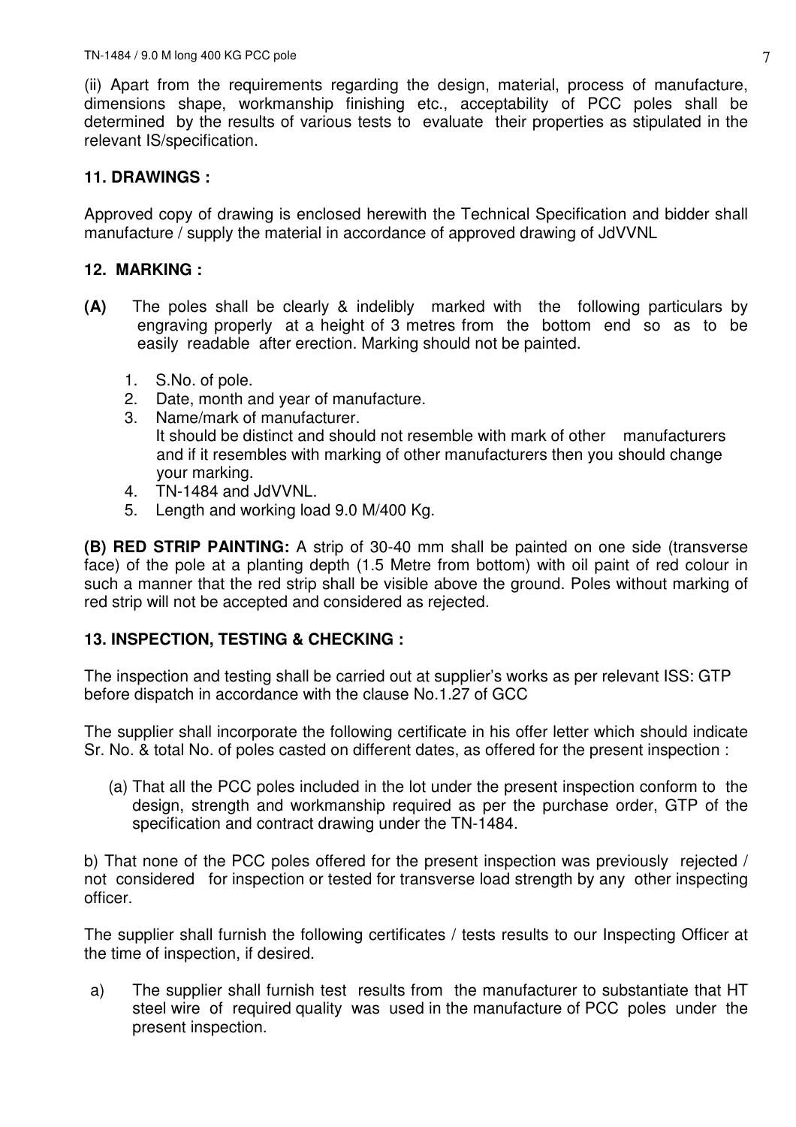(ii) Apart from the requirements regarding the design, material, process of manufacture, dimensions shape, workmanship finishing etc., acceptability of PCC poles shall be determined by the results of various tests to evaluate their properties as stipulated in the relevant IS/specification.

## **11. DRAWINGS :**

Approved copy of drawing is enclosed herewith the Technical Specification and bidder shall manufacture / supply the material in accordance of approved drawing of JdVVNL

## **12. MARKING :**

- **(A)** The poles shall be clearly & indelibly marked with the following particulars by engraving properly at a height of 3 metres from the bottom end so as to be easily readable after erection. Marking should not be painted.
	- 1. S.No. of pole.
	- 2. Date, month and year of manufacture.
	- 3. Name/mark of manufacturer. It should be distinct and should not resemble with mark of other manufacturers and if it resembles with marking of other manufacturers then you should change your marking.
	- 4. TN-1484 and JdVVNL.
	- 5. Length and working load 9.0 M/400 Kg.

**(B) RED STRIP PAINTING:** A strip of 30-40 mm shall be painted on one side (transverse face) of the pole at a planting depth (1.5 Metre from bottom) with oil paint of red colour in such a manner that the red strip shall be visible above the ground. Poles without marking of red strip will not be accepted and considered as rejected.

## **13. INSPECTION, TESTING & CHECKING :**

The inspection and testing shall be carried out at supplier's works as per relevant ISS: GTP before dispatch in accordance with the clause No.1.27 of GCC

The supplier shall incorporate the following certificate in his offer letter which should indicate Sr. No. & total No. of poles casted on different dates, as offered for the present inspection :

(a) That all the PCC poles included in the lot under the present inspection conform to the design, strength and workmanship required as per the purchase order, GTP of the specification and contract drawing under the TN-1484.

b) That none of the PCC poles offered for the present inspection was previously rejected / not considered for inspection or tested for transverse load strength by any other inspecting officer.

The supplier shall furnish the following certificates / tests results to our Inspecting Officer at the time of inspection, if desired.

a) The supplier shall furnish test results from the manufacturer to substantiate that HT steel wire of required quality was used in the manufacture of PCC poles under the present inspection.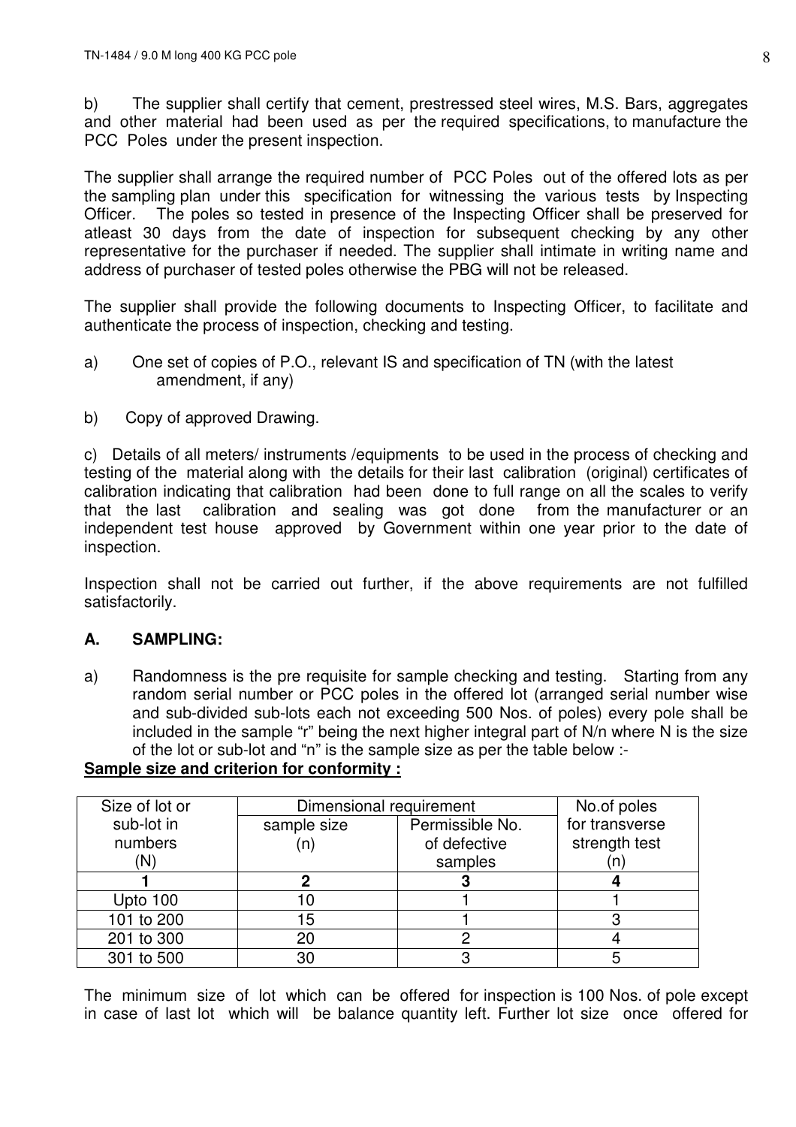b) The supplier shall certify that cement, prestressed steel wires, M.S. Bars, aggregates and other material had been used as per the required specifications, to manufacture the PCC Poles under the present inspection.

The supplier shall arrange the required number of PCC Poles out of the offered lots as per the sampling plan under this specification for witnessing the various tests by Inspecting Officer. The poles so tested in presence of the Inspecting Officer shall be preserved for atleast 30 days from the date of inspection for subsequent checking by any other representative for the purchaser if needed. The supplier shall intimate in writing name and address of purchaser of tested poles otherwise the PBG will not be released.

The supplier shall provide the following documents to Inspecting Officer, to facilitate and authenticate the process of inspection, checking and testing.

- a) One set of copies of P.O., relevant IS and specification of TN (with the latest amendment, if any)
- b) Copy of approved Drawing.

c) Details of all meters/ instruments /equipments to be used in the process of checking and testing of the material along with the details for their last calibration (original) certificates of calibration indicating that calibration had been done to full range on all the scales to verify that the last calibration and sealing was got done from the manufacturer or an independent test house approved by Government within one year prior to the date of inspection.

Inspection shall not be carried out further, if the above requirements are not fulfilled satisfactorily.

## **A. SAMPLING:**

a) Randomness is the pre requisite for sample checking and testing. Starting from any random serial number or PCC poles in the offered lot (arranged serial number wise and sub-divided sub-lots each not exceeding 500 Nos. of poles) every pole shall be included in the sample "r" being the next higher integral part of N/n where N is the size of the lot or sub-lot and "n" is the sample size as per the table below :-

## **Sample size and criterion for conformity :**

| Size of lot or | Dimensional requirement |                 | No.of poles    |
|----------------|-------------------------|-----------------|----------------|
| sub-lot in     | sample size             | Permissible No. | for transverse |
| numbers        |                         | of defective    | strength test  |
| (N)            |                         | samples         |                |
|                |                         |                 |                |
| Upto 100       |                         |                 |                |
| 101 to 200     | 15                      |                 |                |
| 201 to 300     | 20                      |                 |                |
| 301 to 500     | 30                      |                 |                |

The minimum size of lot which can be offered for inspection is 100 Nos. of pole except in case of last lot which will be balance quantity left. Further lot size once offered for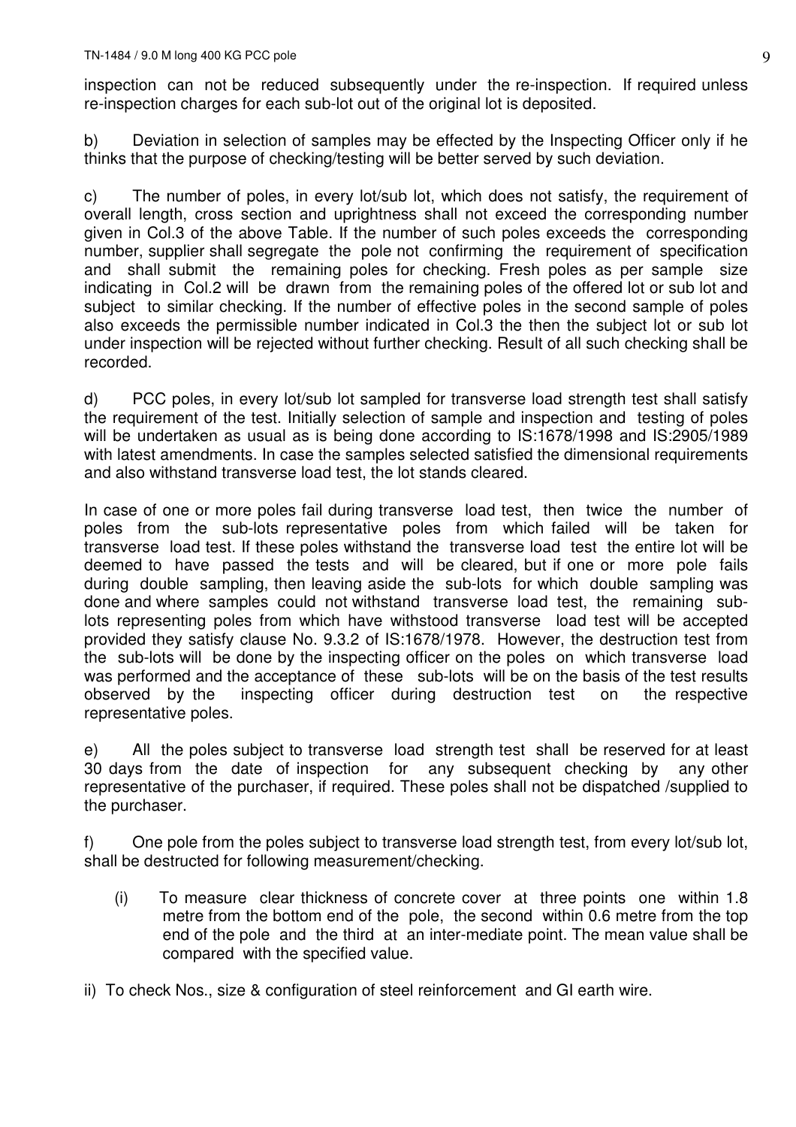inspection can not be reduced subsequently under the re-inspection. If required unless re-inspection charges for each sub-lot out of the original lot is deposited.

b) Deviation in selection of samples may be effected by the Inspecting Officer only if he thinks that the purpose of checking/testing will be better served by such deviation.

c) The number of poles, in every lot/sub lot, which does not satisfy, the requirement of overall length, cross section and uprightness shall not exceed the corresponding number given in Col.3 of the above Table. If the number of such poles exceeds the corresponding number, supplier shall segregate the pole not confirming the requirement of specification and shall submit the remaining poles for checking. Fresh poles as per sample size indicating in Col.2 will be drawn from the remaining poles of the offered lot or sub lot and subject to similar checking. If the number of effective poles in the second sample of poles also exceeds the permissible number indicated in Col.3 the then the subject lot or sub lot under inspection will be rejected without further checking. Result of all such checking shall be recorded.

d) PCC poles, in every lot/sub lot sampled for transverse load strength test shall satisfy the requirement of the test. Initially selection of sample and inspection and testing of poles will be undertaken as usual as is being done according to IS:1678/1998 and IS:2905/1989 with latest amendments. In case the samples selected satisfied the dimensional requirements and also withstand transverse load test, the lot stands cleared.

In case of one or more poles fail during transverse load test, then twice the number of poles from the sub-lots representative poles from which failed will be taken for transverse load test. If these poles withstand the transverse load test the entire lot will be deemed to have passed the tests and will be cleared, but if one or more pole fails during double sampling, then leaving aside the sub-lots for which double sampling was done and where samples could not withstand transverse load test, the remaining sublots representing poles from which have withstood transverse load test will be accepted provided they satisfy clause No. 9.3.2 of IS:1678/1978. However, the destruction test from the sub-lots will be done by the inspecting officer on the poles on which transverse load was performed and the acceptance of these sub-lots will be on the basis of the test results observed by the inspecting officer during destruction test on the respective representative poles.

e) All the poles subject to transverse load strength test shall be reserved for at least 30 days from the date of inspection for any subsequent checking by any other representative of the purchaser, if required. These poles shall not be dispatched /supplied to the purchaser.

f) One pole from the poles subject to transverse load strength test, from every lot/sub lot, shall be destructed for following measurement/checking.

- (i) To measure clear thickness of concrete cover at three points one within 1.8 metre from the bottom end of the pole, the second within 0.6 metre from the top end of the pole and the third at an inter-mediate point. The mean value shall be compared with the specified value.
- ii) To check Nos., size & configuration of steel reinforcement and GI earth wire.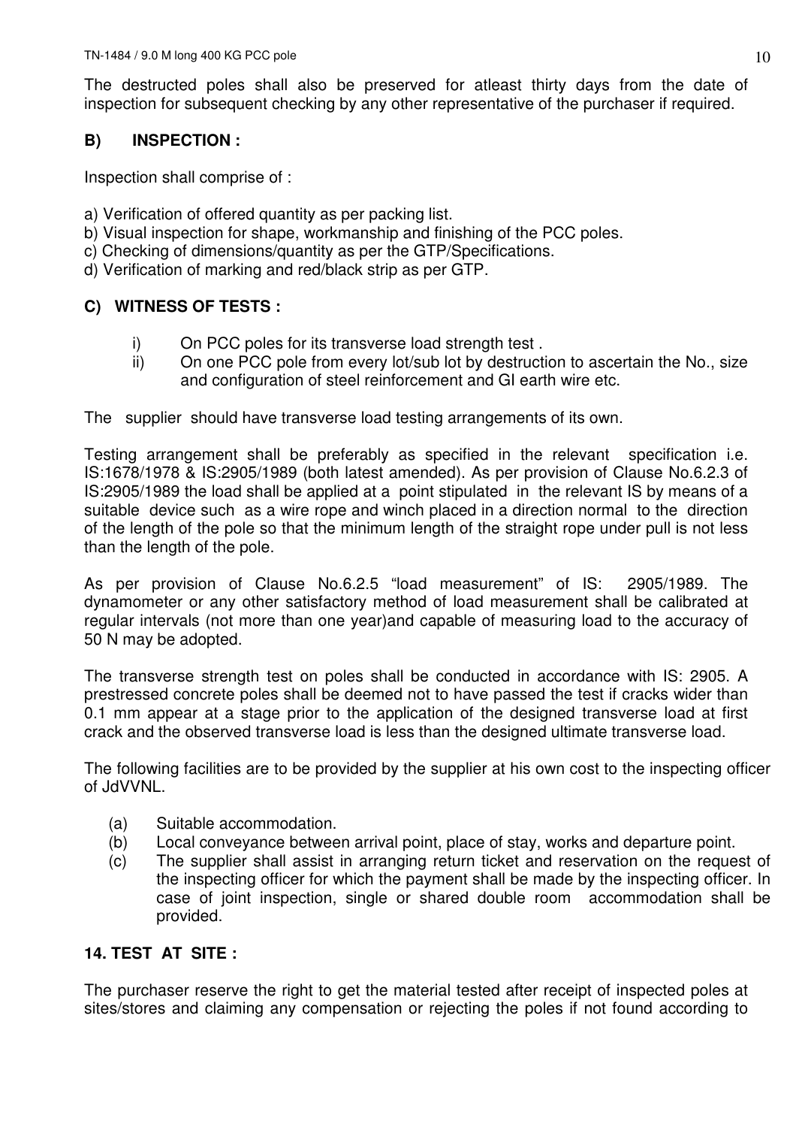The destructed poles shall also be preserved for atleast thirty days from the date of inspection for subsequent checking by any other representative of the purchaser if required.

## **B) INSPECTION :**

Inspection shall comprise of :

- a) Verification of offered quantity as per packing list.
- b) Visual inspection for shape, workmanship and finishing of the PCC poles.
- c) Checking of dimensions/quantity as per the GTP/Specifications.
- d) Verification of marking and red/black strip as per GTP.

## **C) WITNESS OF TESTS :**

- i) On PCC poles for its transverse load strength test .
- ii) On one PCC pole from every lot/sub lot by destruction to ascertain the No., size and configuration of steel reinforcement and GI earth wire etc.

The supplier should have transverse load testing arrangements of its own.

Testing arrangement shall be preferably as specified in the relevant specification i.e. IS:1678/1978 & IS:2905/1989 (both latest amended). As per provision of Clause No.6.2.3 of IS:2905/1989 the load shall be applied at a point stipulated in the relevant IS by means of a suitable device such as a wire rope and winch placed in a direction normal to the direction of the length of the pole so that the minimum length of the straight rope under pull is not less than the length of the pole.

As per provision of Clause No.6.2.5 "load measurement" of IS: 2905/1989. The dynamometer or any other satisfactory method of load measurement shall be calibrated at regular intervals (not more than one year)and capable of measuring load to the accuracy of 50 N may be adopted.

The transverse strength test on poles shall be conducted in accordance with IS: 2905. A prestressed concrete poles shall be deemed not to have passed the test if cracks wider than 0.1 mm appear at a stage prior to the application of the designed transverse load at first crack and the observed transverse load is less than the designed ultimate transverse load.

The following facilities are to be provided by the supplier at his own cost to the inspecting officer of JdVVNL.

- (a) Suitable accommodation.
- (b) Local conveyance between arrival point, place of stay, works and departure point.
- (c) The supplier shall assist in arranging return ticket and reservation on the request of the inspecting officer for which the payment shall be made by the inspecting officer. In case of joint inspection, single or shared double room accommodation shall be provided.

## **14. TEST AT SITE :**

The purchaser reserve the right to get the material tested after receipt of inspected poles at sites/stores and claiming any compensation or rejecting the poles if not found according to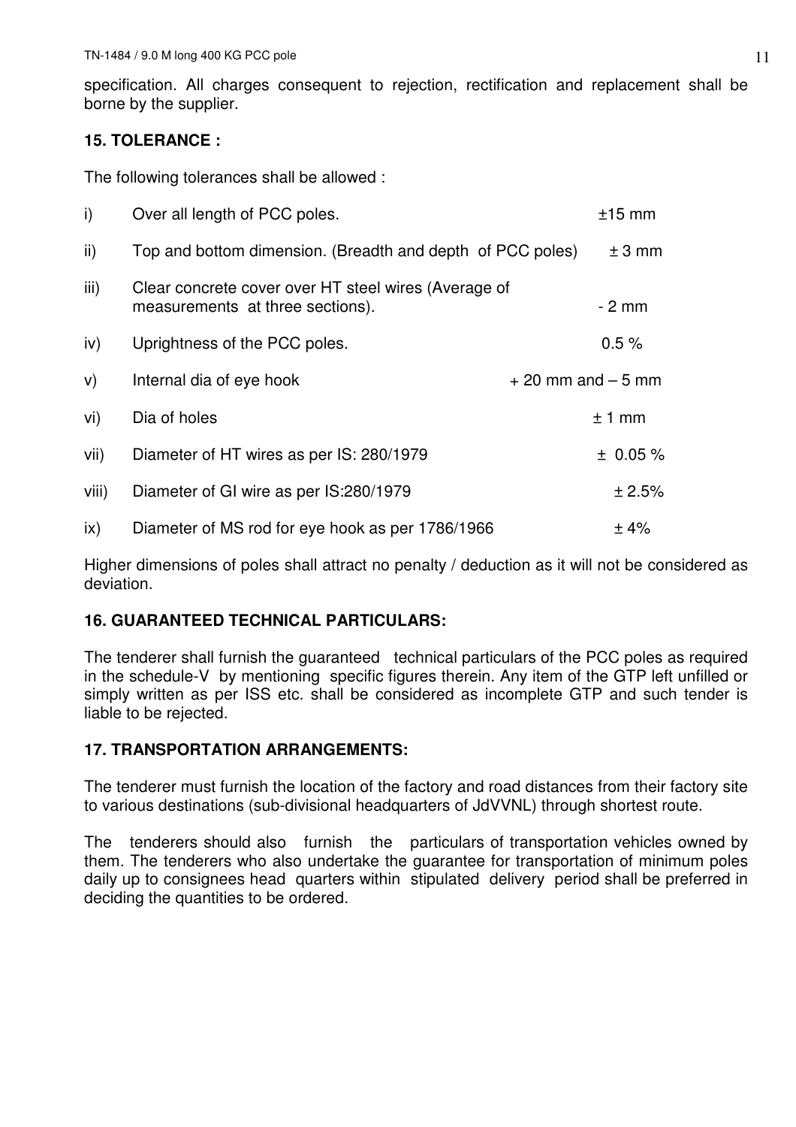specification. All charges consequent to rejection, rectification and replacement shall be borne by the supplier.

## **15. TOLERANCE :**

The following tolerances shall be allowed :

| i)            | Over all length of PCC poles.                                                            | $±15$ mm             |
|---------------|------------------------------------------------------------------------------------------|----------------------|
| $\mathsf{ii}$ | Top and bottom dimension. (Breadth and depth of PCC poles)                               | ± 3 mm               |
| iii)          | Clear concrete cover over HT steel wires (Average of<br>measurements at three sections). | $-2$ mm              |
| iv)           | Uprightness of the PCC poles.                                                            | 0.5%                 |
| V)            | Internal dia of eye hook                                                                 | $+20$ mm and $-5$ mm |
| vi)           | Dia of holes                                                                             | $±1$ mm              |
| vii)          | Diameter of HT wires as per IS: 280/1979                                                 | $± 0.05 \%$          |
| viii)         | Diameter of GI wire as per IS:280/1979                                                   | ± 2.5%               |
| ix)           | Diameter of MS rod for eye hook as per 1786/1966                                         | ±4%                  |

Higher dimensions of poles shall attract no penalty / deduction as it will not be considered as deviation.

## **16. GUARANTEED TECHNICAL PARTICULARS:**

The tenderer shall furnish the guaranteed technical particulars of the PCC poles as required in the schedule-V by mentioning specific figures therein. Any item of the GTP left unfilled or simply written as per ISS etc. shall be considered as incomplete GTP and such tender is liable to be rejected.

## **17. TRANSPORTATION ARRANGEMENTS:**

The tenderer must furnish the location of the factory and road distances from their factory site to various destinations (sub-divisional headquarters of JdVVNL) through shortest route.

The tenderers should also furnish the particulars of transportation vehicles owned by them. The tenderers who also undertake the guarantee for transportation of minimum poles daily up to consignees head quarters within stipulated delivery period shall be preferred in deciding the quantities to be ordered.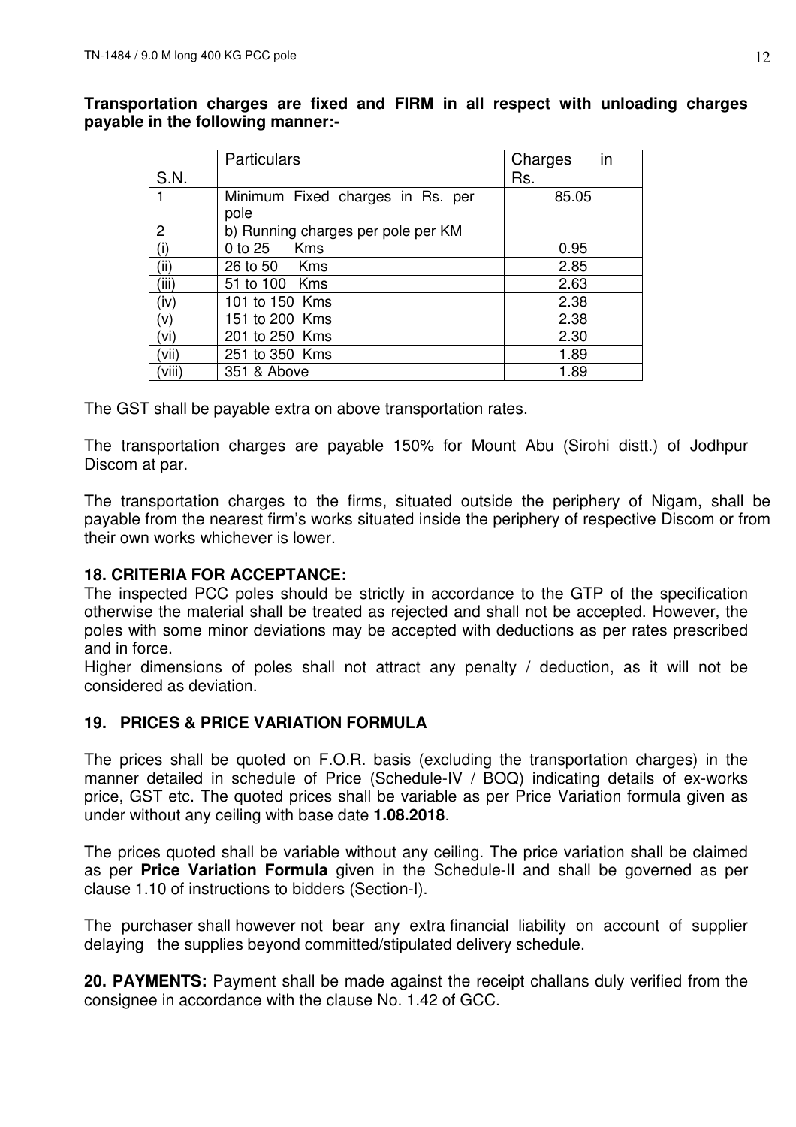**Transportation charges are fixed and FIRM in all respect with unloading charges payable in the following manner:-** 

|       | <b>Particulars</b>                 | in<br>Charges |
|-------|------------------------------------|---------------|
| S.N.  |                                    | Rs.           |
|       | Minimum Fixed charges in Rs. per   | 85.05         |
|       | pole                               |               |
| 2     | b) Running charges per pole per KM |               |
| (i)   | <b>Kms</b><br>0 to 25              | 0.95          |
| (ii)  | 26 to 50 Kms                       | 2.85          |
| (iii) | 51 to 100 Kms                      | 2.63          |
| (iv)  | 101 to 150 Kms                     | 2.38          |
| (v)   | 151 to 200 Kms                     | 2.38          |
| (vi)  | 201 to 250 Kms                     | 2.30          |
| (vii) | 251 to 350 Kms                     | 1.89          |
| (viii | 351 & Above                        | 1.89          |

The GST shall be payable extra on above transportation rates.

The transportation charges are payable 150% for Mount Abu (Sirohi distt.) of Jodhpur Discom at par.

The transportation charges to the firms, situated outside the periphery of Nigam, shall be payable from the nearest firm's works situated inside the periphery of respective Discom or from their own works whichever is lower.

## **18. CRITERIA FOR ACCEPTANCE:**

The inspected PCC poles should be strictly in accordance to the GTP of the specification otherwise the material shall be treated as rejected and shall not be accepted. However, the poles with some minor deviations may be accepted with deductions as per rates prescribed and in force.

Higher dimensions of poles shall not attract any penalty / deduction, as it will not be considered as deviation.

## **19. PRICES & PRICE VARIATION FORMULA**

The prices shall be quoted on F.O.R. basis (excluding the transportation charges) in the manner detailed in schedule of Price (Schedule-IV / BOQ) indicating details of ex-works price, GST etc. The quoted prices shall be variable as per Price Variation formula given as under without any ceiling with base date **1.08.2018**.

The prices quoted shall be variable without any ceiling. The price variation shall be claimed as per **Price Variation Formula** given in the Schedule-II and shall be governed as per clause 1.10 of instructions to bidders (Section-I).

The purchaser shall however not bear any extra financial liability on account of supplier delaying the supplies beyond committed/stipulated delivery schedule.

**20. PAYMENTS:** Payment shall be made against the receipt challans duly verified from the consignee in accordance with the clause No. 1.42 of GCC.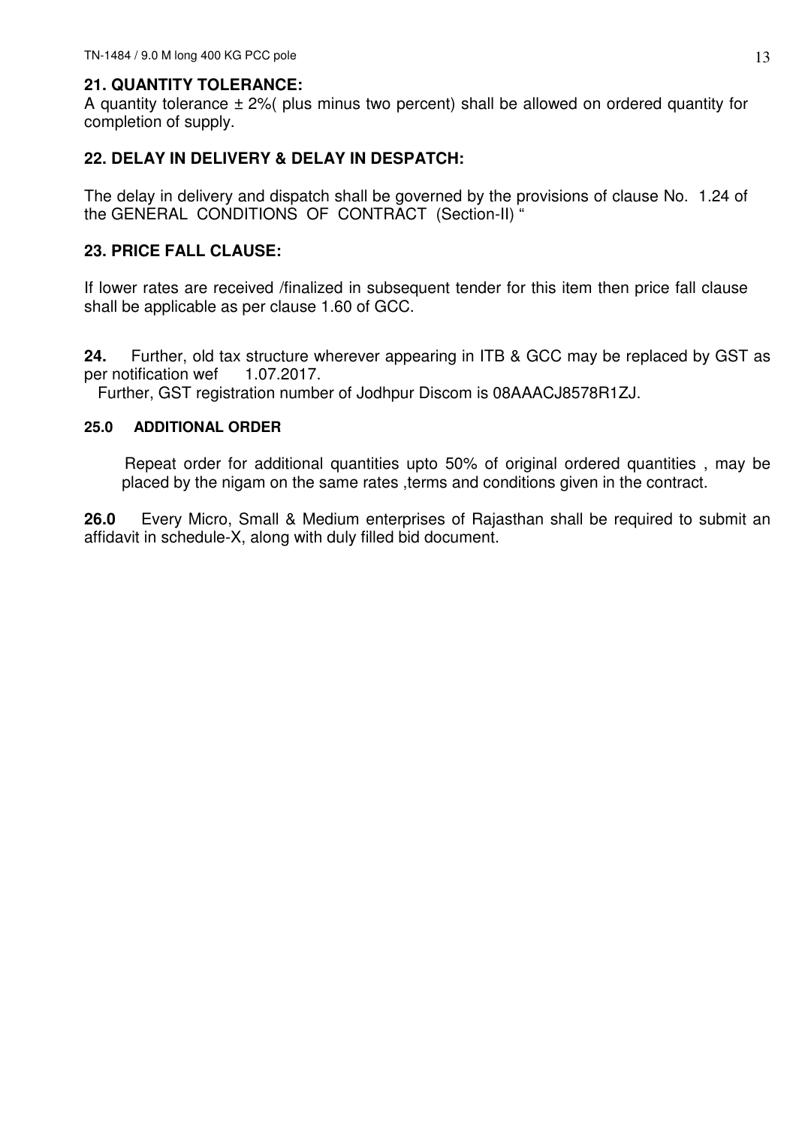## **21. QUANTITY TOLERANCE:**

A quantity tolerance  $\pm$  2%( plus minus two percent) shall be allowed on ordered quantity for completion of supply.

## **22. DELAY IN DELIVERY & DELAY IN DESPATCH:**

The delay in delivery and dispatch shall be governed by the provisions of clause No. 1.24 of the GENERAL CONDITIONS OF CONTRACT (Section-II) "

## **23. PRICE FALL CLAUSE:**

If lower rates are received /finalized in subsequent tender for this item then price fall clause shall be applicable as per clause 1.60 of GCC.

**24.** Further, old tax structure wherever appearing in ITB & GCC may be replaced by GST as per notification wef 1.07.2017.

Further, GST registration number of Jodhpur Discom is 08AAACJ8578R1ZJ.

### **25.0 ADDITIONAL ORDER**

 Repeat order for additional quantities upto 50% of original ordered quantities , may be placed by the nigam on the same rates ,terms and conditions given in the contract.

**26.0** Every Micro, Small & Medium enterprises of Rajasthan shall be required to submit an affidavit in schedule-X, along with duly filled bid document.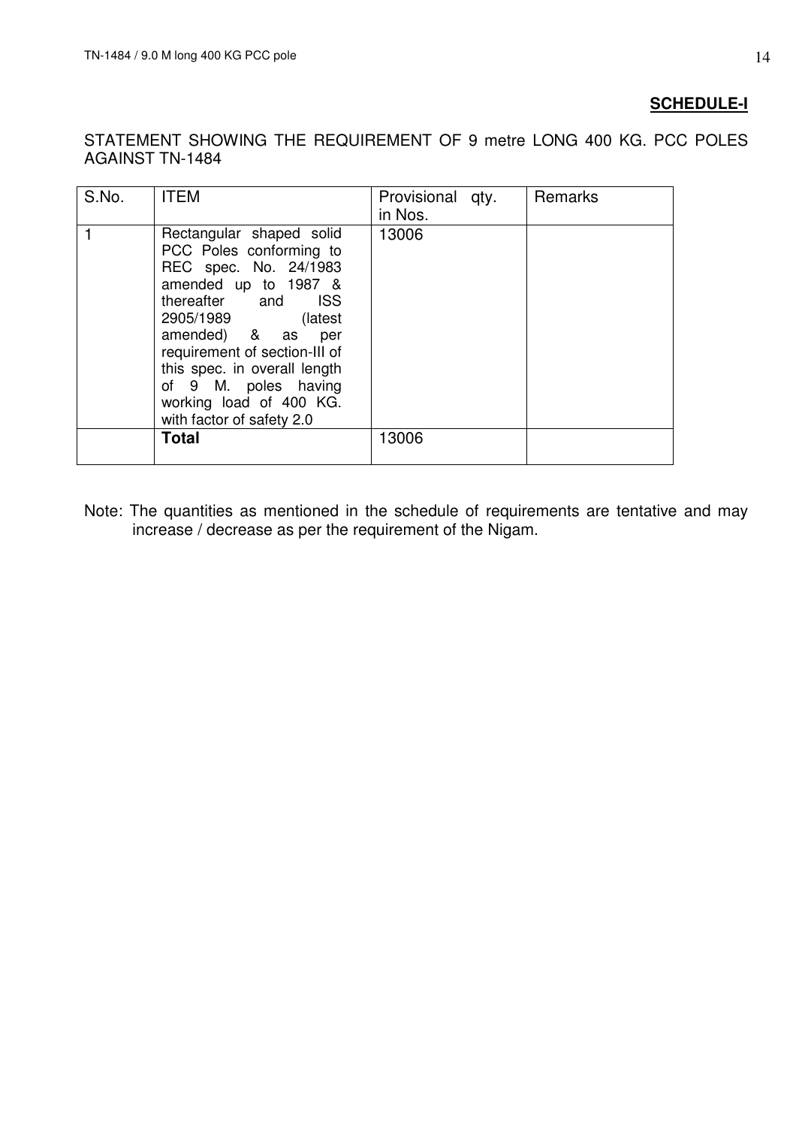## **SCHEDULE-I**

STATEMENT SHOWING THE REQUIREMENT OF 9 metre LONG 400 KG. PCC POLES AGAINST TN-1484

| S.No. | <b>ITEM</b>                                                                                                                                                                                                                                                                                                               | Provisional qty.<br>in Nos. | Remarks |
|-------|---------------------------------------------------------------------------------------------------------------------------------------------------------------------------------------------------------------------------------------------------------------------------------------------------------------------------|-----------------------------|---------|
|       | Rectangular shaped solid<br>PCC Poles conforming to<br>REC spec. No. 24/1983<br>amended up to 1987 &<br>thereafter and ISS<br>2905/1989<br>(latest)<br>amended) & as per<br>requirement of section-III of<br>this spec. in overall length<br>of 9 M. poles having<br>working load of 400 KG.<br>with factor of safety 2.0 | 13006                       |         |
|       | <b>Total</b>                                                                                                                                                                                                                                                                                                              | 13006                       |         |

Note: The quantities as mentioned in the schedule of requirements are tentative and may increase / decrease as per the requirement of the Nigam.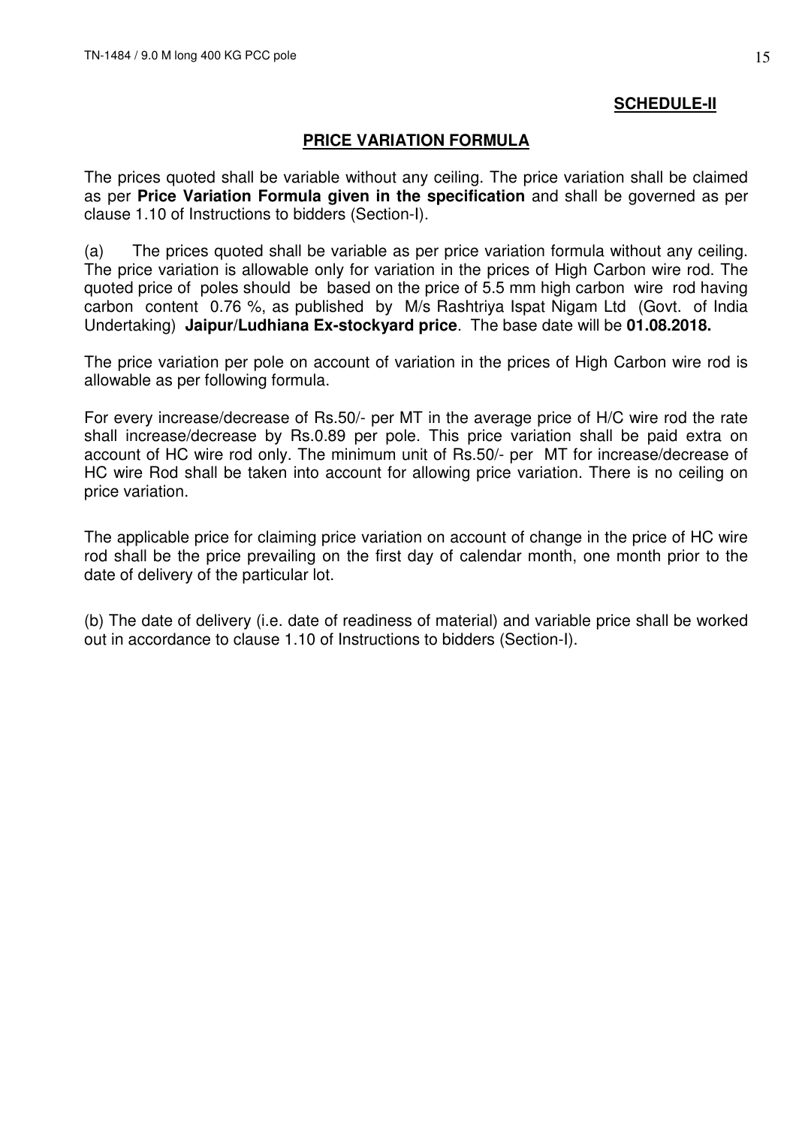## **SCHEDULE-II**

### **PRICE VARIATION FORMULA**

The prices quoted shall be variable without any ceiling. The price variation shall be claimed as per **Price Variation Formula given in the specification** and shall be governed as per clause 1.10 of Instructions to bidders (Section-I).

(a) The prices quoted shall be variable as per price variation formula without any ceiling. The price variation is allowable only for variation in the prices of High Carbon wire rod. The quoted price of poles should be based on the price of 5.5 mm high carbon wire rod having carbon content 0.76 %, as published by M/s Rashtriya Ispat Nigam Ltd (Govt. of India Undertaking) **Jaipur/Ludhiana Ex-stockyard price**. The base date will be **01.08.2018.**

The price variation per pole on account of variation in the prices of High Carbon wire rod is allowable as per following formula.

For every increase/decrease of Rs.50/- per MT in the average price of H/C wire rod the rate shall increase/decrease by Rs.0.89 per pole. This price variation shall be paid extra on account of HC wire rod only. The minimum unit of Rs.50/- per MT for increase/decrease of HC wire Rod shall be taken into account for allowing price variation. There is no ceiling on price variation.

The applicable price for claiming price variation on account of change in the price of HC wire rod shall be the price prevailing on the first day of calendar month, one month prior to the date of delivery of the particular lot.

(b) The date of delivery (i.e. date of readiness of material) and variable price shall be worked out in accordance to clause 1.10 of Instructions to bidders (Section-I).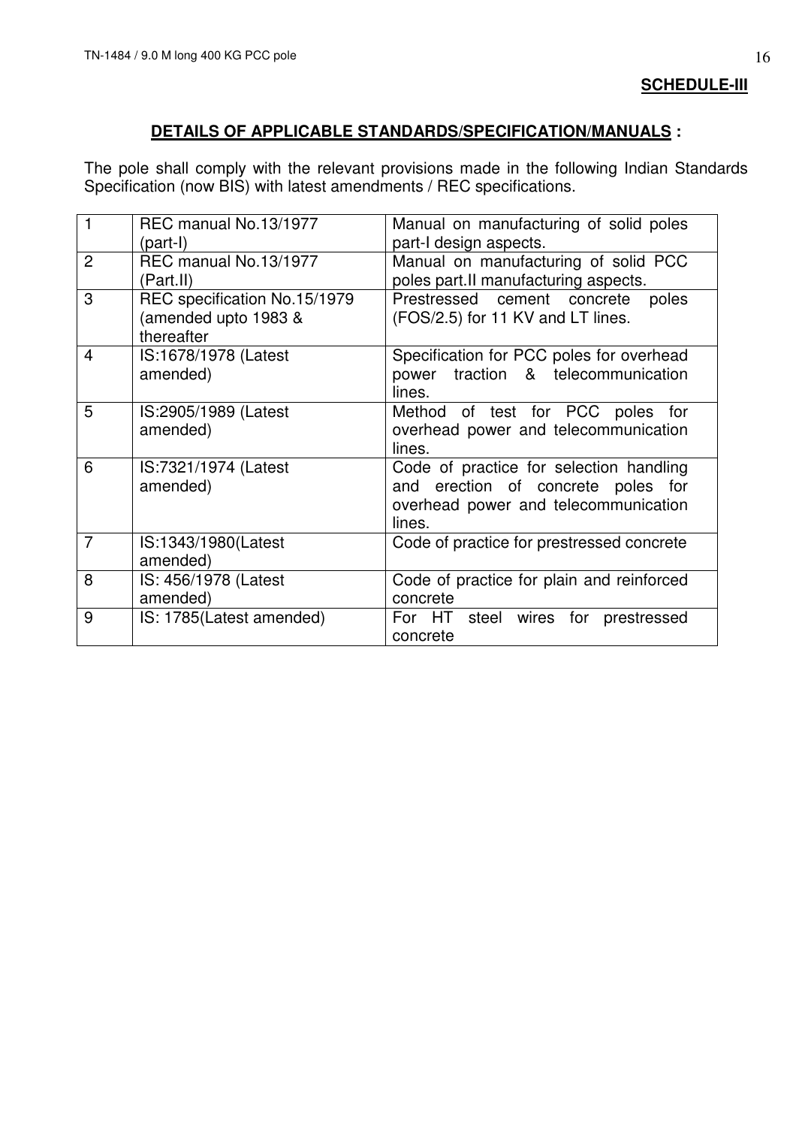**SCHEDULE-III**

## **DETAILS OF APPLICABLE STANDARDS/SPECIFICATION/MANUALS :**

The pole shall comply with the relevant provisions made in the following Indian Standards Specification (now BIS) with latest amendments / REC specifications.

| $\mathbf 1$    | REC manual No.13/1977<br>$(part-I)$                                | Manual on manufacturing of solid poles<br>part-I design aspects.                                                                |
|----------------|--------------------------------------------------------------------|---------------------------------------------------------------------------------------------------------------------------------|
| $\overline{2}$ | REC manual No.13/1977<br>(Part.II)                                 | Manual on manufacturing of solid PCC<br>poles part.II manufacturing aspects.                                                    |
| 3              | REC specification No.15/1979<br>(amended upto 1983 &<br>thereafter | Prestressed cement concrete<br>poles<br>(FOS/2.5) for 11 KV and LT lines.                                                       |
| 4              | IS:1678/1978 (Latest<br>amended)                                   | Specification for PCC poles for overhead<br>power traction & telecommunication<br>lines.                                        |
| 5              | IS:2905/1989 (Latest<br>amended)                                   | Method of test for PCC poles for<br>overhead power and telecommunication<br>lines.                                              |
| 6              | IS:7321/1974 (Latest<br>amended)                                   | Code of practice for selection handling<br>and erection of concrete poles for<br>overhead power and telecommunication<br>lines. |
| $\overline{7}$ | IS:1343/1980(Latest<br>amended)                                    | Code of practice for prestressed concrete                                                                                       |
| 8              | IS: 456/1978 (Latest<br>amended)                                   | Code of practice for plain and reinforced<br>concrete                                                                           |
| 9              | IS: 1785(Latest amended)                                           | For HT steel wires for prestressed<br>concrete                                                                                  |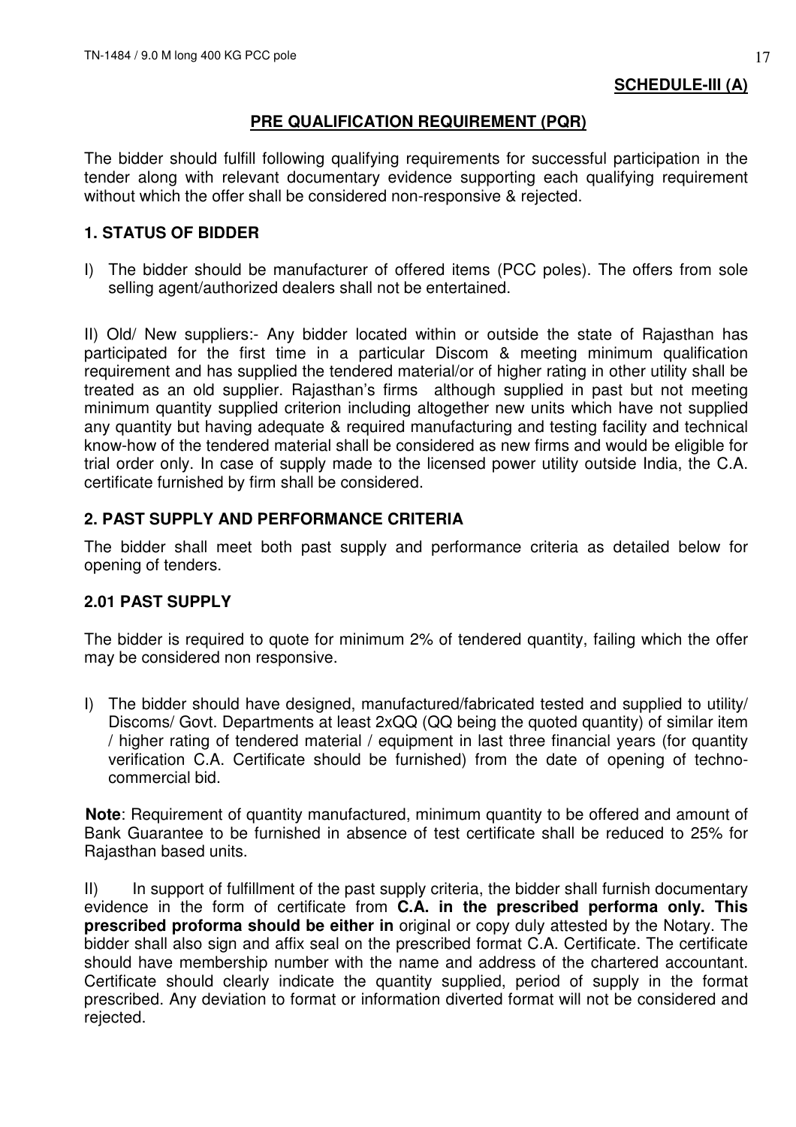## **PRE QUALIFICATION REQUIREMENT (PQR)**

The bidder should fulfill following qualifying requirements for successful participation in the tender along with relevant documentary evidence supporting each qualifying requirement without which the offer shall be considered non-responsive & rejected.

## **1. STATUS OF BIDDER**

I) The bidder should be manufacturer of offered items (PCC poles). The offers from sole selling agent/authorized dealers shall not be entertained.

II) Old/ New suppliers:- Any bidder located within or outside the state of Rajasthan has participated for the first time in a particular Discom & meeting minimum qualification requirement and has supplied the tendered material/or of higher rating in other utility shall be treated as an old supplier. Rajasthan's firms although supplied in past but not meeting minimum quantity supplied criterion including altogether new units which have not supplied any quantity but having adequate & required manufacturing and testing facility and technical know-how of the tendered material shall be considered as new firms and would be eligible for trial order only. In case of supply made to the licensed power utility outside India, the C.A. certificate furnished by firm shall be considered.

## **2. PAST SUPPLY AND PERFORMANCE CRITERIA**

The bidder shall meet both past supply and performance criteria as detailed below for opening of tenders.

## **2.01 PAST SUPPLY**

The bidder is required to quote for minimum 2% of tendered quantity, failing which the offer may be considered non responsive.

I) The bidder should have designed, manufactured/fabricated tested and supplied to utility/ Discoms/ Govt. Departments at least 2xQQ (QQ being the quoted quantity) of similar item / higher rating of tendered material / equipment in last three financial years (for quantity verification C.A. Certificate should be furnished) from the date of opening of technocommercial bid.

**Note:** Requirement of quantity manufactured, minimum quantity to be offered and amount of Bank Guarantee to be furnished in absence of test certificate shall be reduced to 25% for Rajasthan based units.

II) In support of fulfillment of the past supply criteria, the bidder shall furnish documentary evidence in the form of certificate from **C.A. in the prescribed performa only. This prescribed proforma should be either in** original or copy duly attested by the Notary. The bidder shall also sign and affix seal on the prescribed format C.A. Certificate. The certificate should have membership number with the name and address of the chartered accountant. Certificate should clearly indicate the quantity supplied, period of supply in the format prescribed. Any deviation to format or information diverted format will not be considered and rejected.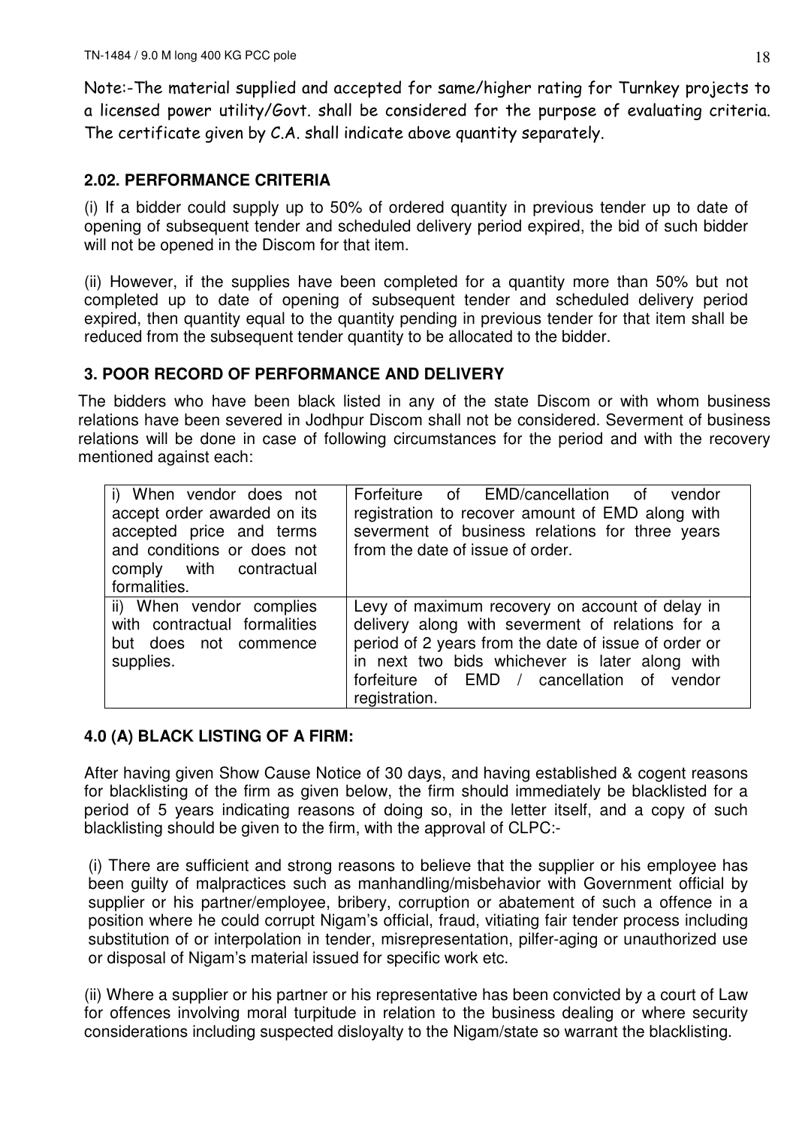Note:-The material supplied and accepted for same/higher rating for Turnkey projects to a licensed power utility/Govt. shall be considered for the purpose of evaluating criteria. The certificate given by C.A. shall indicate above quantity separately.

## **2.02. PERFORMANCE CRITERIA**

(i) If a bidder could supply up to 50% of ordered quantity in previous tender up to date of opening of subsequent tender and scheduled delivery period expired, the bid of such bidder will not be opened in the Discom for that item.

(ii) However, if the supplies have been completed for a quantity more than 50% but not completed up to date of opening of subsequent tender and scheduled delivery period expired, then quantity equal to the quantity pending in previous tender for that item shall be reduced from the subsequent tender quantity to be allocated to the bidder.

## **3. POOR RECORD OF PERFORMANCE AND DELIVERY**

The bidders who have been black listed in any of the state Discom or with whom business relations have been severed in Jodhpur Discom shall not be considered. Severment of business relations will be done in case of following circumstances for the period and with the recovery mentioned against each:

| i) When vendor does not<br>accept order awarded on its<br>accepted price and terms<br>and conditions or does not<br>comply with contractual<br>formalities. | Forfeiture of EMD/cancellation of vendor<br>registration to recover amount of EMD along with<br>severment of business relations for three years<br>from the date of issue of order.                                                                                          |
|-------------------------------------------------------------------------------------------------------------------------------------------------------------|------------------------------------------------------------------------------------------------------------------------------------------------------------------------------------------------------------------------------------------------------------------------------|
| ii) When vendor complies<br>with contractual formalities<br>but does not commence<br>supplies.                                                              | Levy of maximum recovery on account of delay in<br>delivery along with severment of relations for a<br>period of 2 years from the date of issue of order or<br>in next two bids whichever is later along with<br>forfeiture of EMD / cancellation of vendor<br>registration. |

## **4.0 (A) BLACK LISTING OF A FIRM:**

After having given Show Cause Notice of 30 days, and having established & cogent reasons for blacklisting of the firm as given below, the firm should immediately be blacklisted for a period of 5 years indicating reasons of doing so, in the letter itself, and a copy of such blacklisting should be given to the firm, with the approval of CLPC:-

(i) There are sufficient and strong reasons to believe that the supplier or his employee has been guilty of malpractices such as manhandling/misbehavior with Government official by supplier or his partner/employee, bribery, corruption or abatement of such a offence in a position where he could corrupt Nigam's official, fraud, vitiating fair tender process including substitution of or interpolation in tender, misrepresentation, pilfer-aging or unauthorized use or disposal of Nigam's material issued for specific work etc.

(ii) Where a supplier or his partner or his representative has been convicted by a court of Law for offences involving moral turpitude in relation to the business dealing or where security considerations including suspected disloyalty to the Nigam/state so warrant the blacklisting.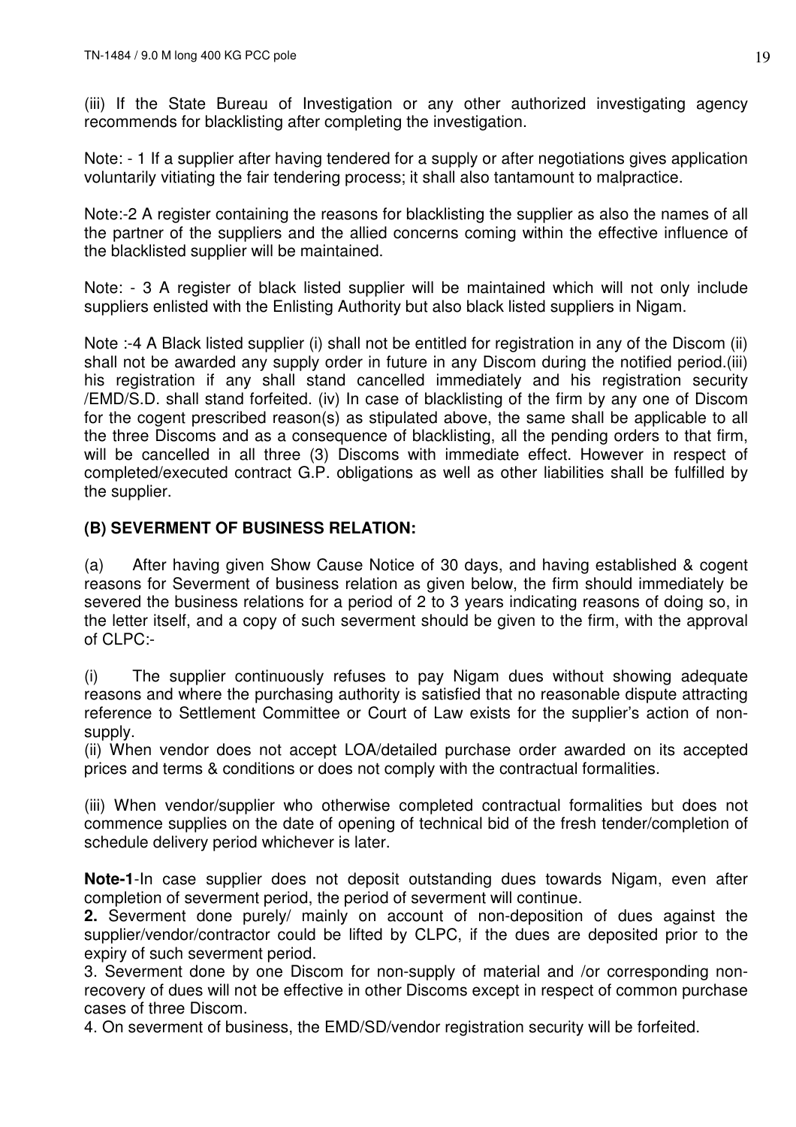(iii) If the State Bureau of Investigation or any other authorized investigating agency recommends for blacklisting after completing the investigation.

Note: - 1 If a supplier after having tendered for a supply or after negotiations gives application voluntarily vitiating the fair tendering process; it shall also tantamount to malpractice.

Note:-2 A register containing the reasons for blacklisting the supplier as also the names of all the partner of the suppliers and the allied concerns coming within the effective influence of the blacklisted supplier will be maintained.

Note: - 3 A register of black listed supplier will be maintained which will not only include suppliers enlisted with the Enlisting Authority but also black listed suppliers in Nigam.

Note :-4 A Black listed supplier (i) shall not be entitled for registration in any of the Discom (ii) shall not be awarded any supply order in future in any Discom during the notified period.(iii) his registration if any shall stand cancelled immediately and his registration security /EMD/S.D. shall stand forfeited. (iv) In case of blacklisting of the firm by any one of Discom for the cogent prescribed reason(s) as stipulated above, the same shall be applicable to all the three Discoms and as a consequence of blacklisting, all the pending orders to that firm, will be cancelled in all three (3) Discoms with immediate effect. However in respect of completed/executed contract G.P. obligations as well as other liabilities shall be fulfilled by the supplier.

## **(B) SEVERMENT OF BUSINESS RELATION:**

(a) After having given Show Cause Notice of 30 days, and having established & cogent reasons for Severment of business relation as given below, the firm should immediately be severed the business relations for a period of 2 to 3 years indicating reasons of doing so, in the letter itself, and a copy of such severment should be given to the firm, with the approval of  $CI$  PC:-

(i) The supplier continuously refuses to pay Nigam dues without showing adequate reasons and where the purchasing authority is satisfied that no reasonable dispute attracting reference to Settlement Committee or Court of Law exists for the supplier's action of nonsupply.

(ii) When vendor does not accept LOA/detailed purchase order awarded on its accepted prices and terms & conditions or does not comply with the contractual formalities.

(iii) When vendor/supplier who otherwise completed contractual formalities but does not commence supplies on the date of opening of technical bid of the fresh tender/completion of schedule delivery period whichever is later.

**Note-1**-In case supplier does not deposit outstanding dues towards Nigam, even after completion of severment period, the period of severment will continue.

**2.** Severment done purely/ mainly on account of non-deposition of dues against the supplier/vendor/contractor could be lifted by CLPC, if the dues are deposited prior to the expiry of such severment period.

3. Severment done by one Discom for non-supply of material and /or corresponding nonrecovery of dues will not be effective in other Discoms except in respect of common purchase cases of three Discom.

4. On severment of business, the EMD/SD/vendor registration security will be forfeited.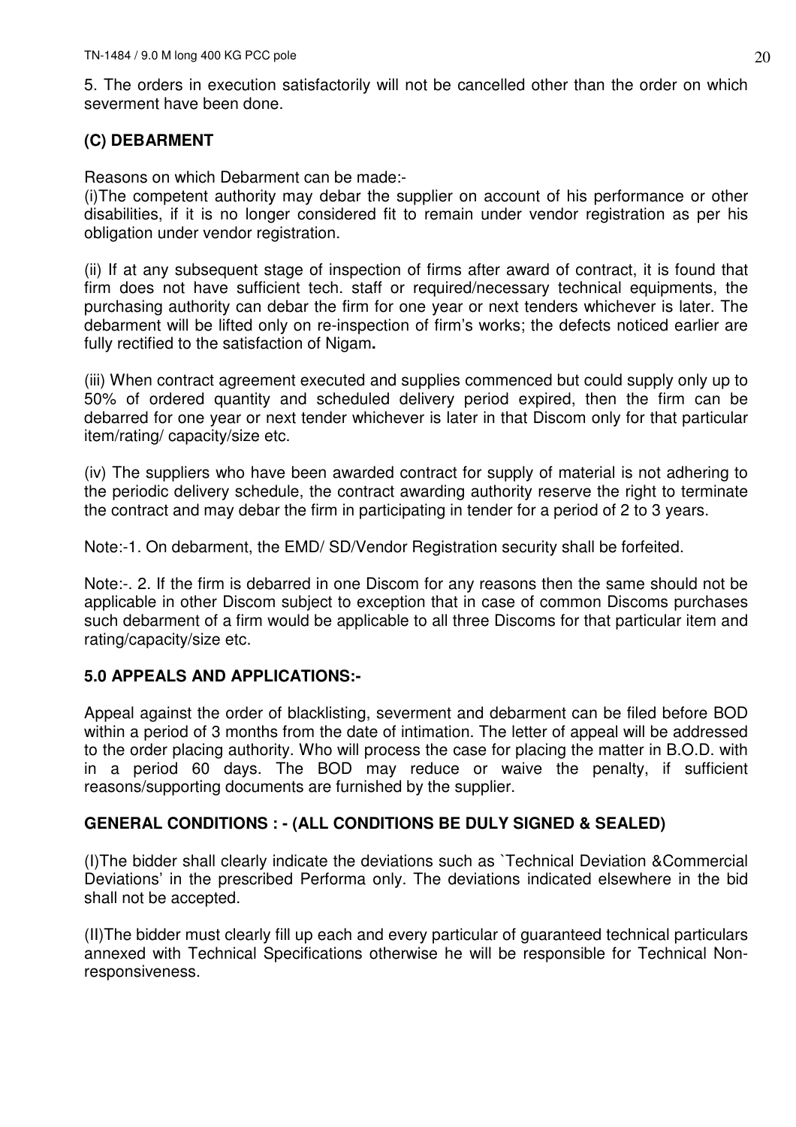5. The orders in execution satisfactorily will not be cancelled other than the order on which severment have been done.

## **(C) DEBARMENT**

Reasons on which Debarment can be made:-

(i)The competent authority may debar the supplier on account of his performance or other disabilities, if it is no longer considered fit to remain under vendor registration as per his obligation under vendor registration.

(ii) If at any subsequent stage of inspection of firms after award of contract, it is found that firm does not have sufficient tech. staff or required/necessary technical equipments, the purchasing authority can debar the firm for one year or next tenders whichever is later. The debarment will be lifted only on re-inspection of firm's works; the defects noticed earlier are fully rectified to the satisfaction of Nigam**.** 

(iii) When contract agreement executed and supplies commenced but could supply only up to 50% of ordered quantity and scheduled delivery period expired, then the firm can be debarred for one year or next tender whichever is later in that Discom only for that particular item/rating/ capacity/size etc.

(iv) The suppliers who have been awarded contract for supply of material is not adhering to the periodic delivery schedule, the contract awarding authority reserve the right to terminate the contract and may debar the firm in participating in tender for a period of 2 to 3 years.

Note:-1. On debarment, the EMD/ SD/Vendor Registration security shall be forfeited.

Note:-. 2. If the firm is debarred in one Discom for any reasons then the same should not be applicable in other Discom subject to exception that in case of common Discoms purchases such debarment of a firm would be applicable to all three Discoms for that particular item and rating/capacity/size etc.

## **5.0 APPEALS AND APPLICATIONS:-**

Appeal against the order of blacklisting, severment and debarment can be filed before BOD within a period of 3 months from the date of intimation. The letter of appeal will be addressed to the order placing authority. Who will process the case for placing the matter in B.O.D. with in a period 60 days. The BOD may reduce or waive the penalty, if sufficient reasons/supporting documents are furnished by the supplier.

## **GENERAL CONDITIONS : - (ALL CONDITIONS BE DULY SIGNED & SEALED)**

(I)The bidder shall clearly indicate the deviations such as `Technical Deviation &Commercial Deviations' in the prescribed Performa only. The deviations indicated elsewhere in the bid shall not be accepted.

(II)The bidder must clearly fill up each and every particular of guaranteed technical particulars annexed with Technical Specifications otherwise he will be responsible for Technical Nonresponsiveness.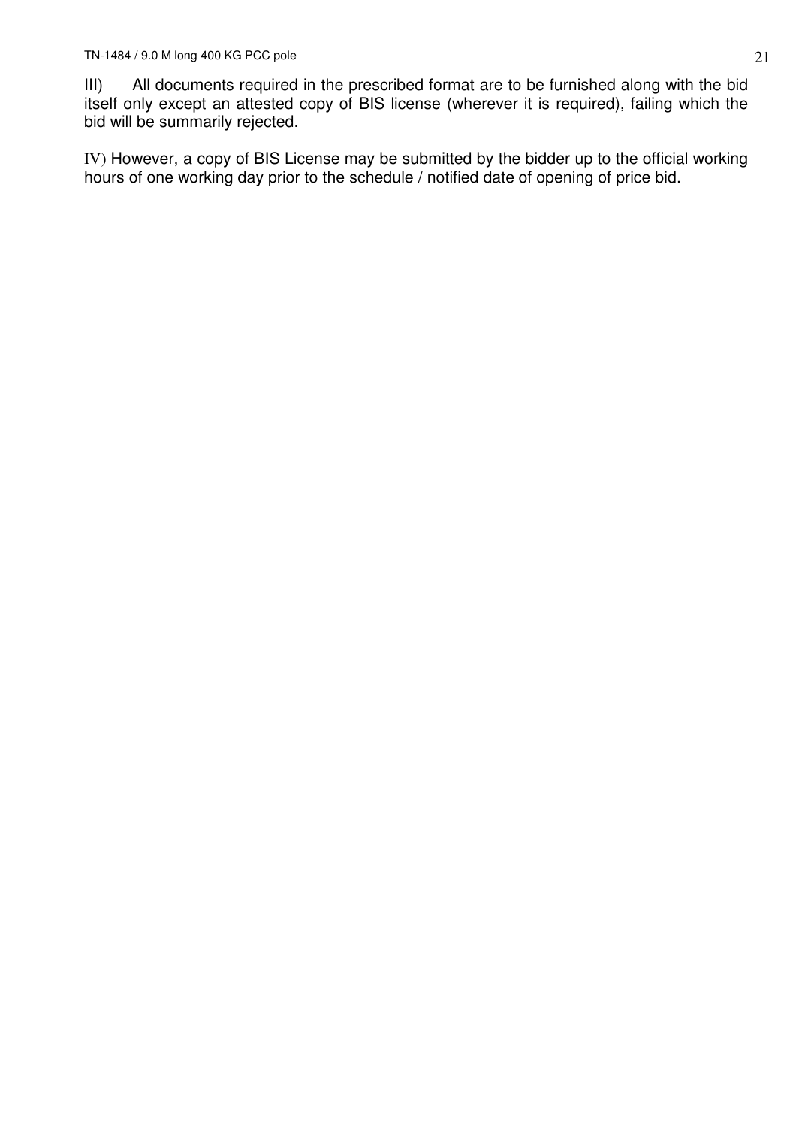III) All documents required in the prescribed format are to be furnished along with the bid itself only except an attested copy of BIS license (wherever it is required), failing which the bid will be summarily rejected.

IV) However, a copy of BIS License may be submitted by the bidder up to the official working hours of one working day prior to the schedule / notified date of opening of price bid.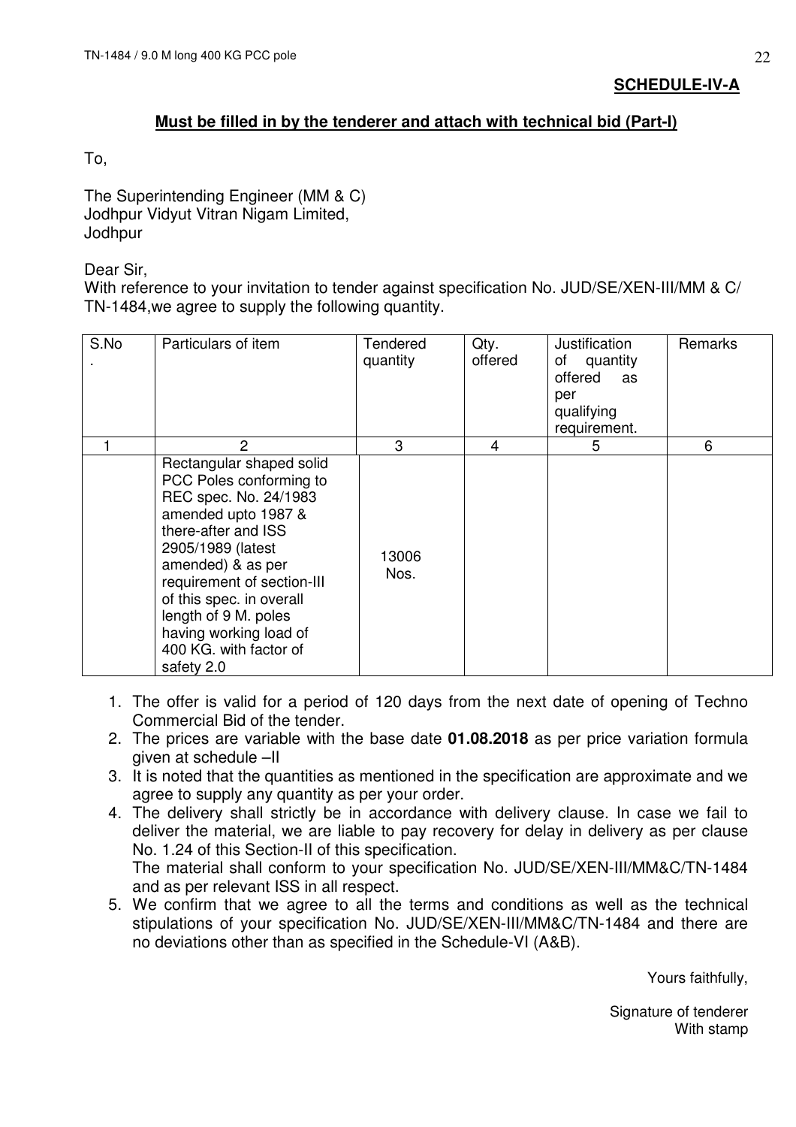## **Must be filled in by the tenderer and attach with technical bid (Part-I)**

To,

The Superintending Engineer (MM & C) Jodhpur Vidyut Vitran Nigam Limited, **Jodhpur** 

Dear Sir,

With reference to your invitation to tender against specification No. JUD/SE/XEN-III/MM & C/ TN-1484,we agree to supply the following quantity.

| S.No | Particulars of item                                                                                                                                                                                                                                                                                                      | Tendered<br>quantity | Qty.<br>offered | Justification<br>of quantity<br>offered<br>as<br>per<br>qualifying<br>requirement. | Remarks |
|------|--------------------------------------------------------------------------------------------------------------------------------------------------------------------------------------------------------------------------------------------------------------------------------------------------------------------------|----------------------|-----------------|------------------------------------------------------------------------------------|---------|
|      | 2                                                                                                                                                                                                                                                                                                                        | 3                    | 4               | 5                                                                                  | 6       |
|      | Rectangular shaped solid<br>PCC Poles conforming to<br>REC spec. No. 24/1983<br>amended upto 1987 &<br>there-after and ISS<br>2905/1989 (latest<br>amended) & as per<br>requirement of section-III<br>of this spec. in overall<br>length of 9 M. poles<br>having working load of<br>400 KG. with factor of<br>safety 2.0 | 13006<br>Nos.        |                 |                                                                                    |         |

- 1. The offer is valid for a period of 120 days from the next date of opening of Techno Commercial Bid of the tender.
- 2. The prices are variable with the base date **01.08.2018** as per price variation formula given at schedule –II
- 3. It is noted that the quantities as mentioned in the specification are approximate and we agree to supply any quantity as per your order.
- 4. The delivery shall strictly be in accordance with delivery clause. In case we fail to deliver the material, we are liable to pay recovery for delay in delivery as per clause No. 1.24 of this Section-II of this specification. The material shall conform to your specification No. JUD/SE/XEN-III/MM&C/TN-1484 and as per relevant ISS in all respect.
- 5. We confirm that we agree to all the terms and conditions as well as the technical stipulations of your specification No. JUD/SE/XEN-III/MM&C/TN-1484 and there are no deviations other than as specified in the Schedule-VI (A&B).

Yours faithfully,

Signature of tenderer With stamp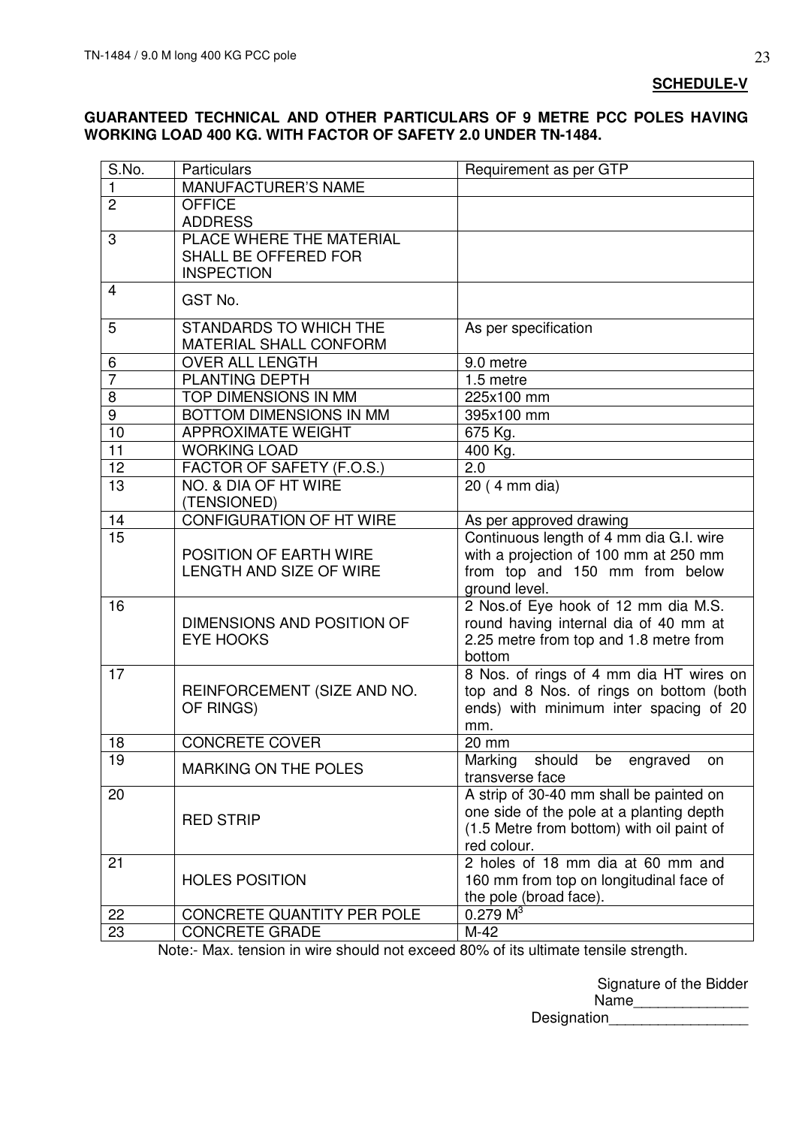#### **SCHEDULE-V**

### **GUARANTEED TECHNICAL AND OTHER PARTICULARS OF 9 METRE PCC POLES HAVING WORKING LOAD 400 KG. WITH FACTOR OF SAFETY 2.0 UNDER TN-1484.**

| S.No.            | <b>Particulars</b>                                      | Requirement as per GTP                                 |
|------------------|---------------------------------------------------------|--------------------------------------------------------|
| $\mathbf{1}$     | MANUFACTURER'S NAME                                     |                                                        |
| $\overline{2}$   | <b>OFFICE</b>                                           |                                                        |
|                  | <b>ADDRESS</b>                                          |                                                        |
| 3                | PLACE WHERE THE MATERIAL                                |                                                        |
|                  | SHALL BE OFFERED FOR                                    |                                                        |
|                  | <b>INSPECTION</b>                                       |                                                        |
| 4                | GST No.                                                 |                                                        |
| 5                | <b>STANDARDS TO WHICH THE</b><br>MATERIAL SHALL CONFORM | As per specification                                   |
| 6                | <b>OVER ALL LENGTH</b>                                  | 9.0 metre                                              |
| $\overline{7}$   | PLANTING DEPTH                                          | 1.5 metre                                              |
| 8                | TOP DIMENSIONS IN MM                                    | 225x100 mm                                             |
| $\boldsymbol{9}$ | BOTTOM DIMENSIONS IN MM                                 | 395x100 mm                                             |
| 10               | <b>APPROXIMATE WEIGHT</b>                               |                                                        |
| 11               | <b>WORKING LOAD</b>                                     | 675 Kg.<br>400 Kg.                                     |
| 12               | FACTOR OF SAFETY (F.O.S.)                               | 2.0                                                    |
| 13               | NO. & DIA OF HT WIRE                                    | 20 (4 mm dia)                                          |
|                  | (TENSIONED)                                             |                                                        |
| 14               | <b>CONFIGURATION OF HT WIRE</b>                         | As per approved drawing                                |
| 15               |                                                         | Continuous length of 4 mm dia G.I. wire                |
|                  | POSITION OF EARTH WIRE                                  | with a projection of 100 mm at 250 mm                  |
|                  | <b>LENGTH AND SIZE OF WIRE</b>                          | from top and 150 mm from below                         |
|                  |                                                         | ground level.                                          |
| 16               |                                                         | 2 Nos.of Eye hook of 12 mm dia M.S.                    |
|                  | DIMENSIONS AND POSITION OF                              | round having internal dia of 40 mm at                  |
|                  | <b>EYE HOOKS</b>                                        | 2.25 metre from top and 1.8 metre from                 |
|                  |                                                         | bottom                                                 |
| 17               |                                                         | 8 Nos. of rings of 4 mm dia HT wires on                |
|                  | REINFORCEMENT (SIZE AND NO.                             | top and 8 Nos. of rings on bottom (both                |
|                  | OF RINGS)                                               | ends) with minimum inter spacing of 20                 |
|                  |                                                         | mm.                                                    |
| 18               | <b>CONCRETE COVER</b>                                   | 20 mm                                                  |
| 19               | <b>MARKING ON THE POLES</b>                             | Marking should be<br>engraved<br>on<br>transverse face |
| 20               |                                                         | A strip of 30-40 mm shall be painted on                |
|                  | <b>RED STRIP</b>                                        | one side of the pole at a planting depth               |
|                  |                                                         | (1.5 Metre from bottom) with oil paint of              |
|                  |                                                         | red colour.                                            |
| 21               |                                                         | 2 holes of 18 mm dia at 60 mm and                      |
|                  | <b>HOLES POSITION</b>                                   | 160 mm from top on longitudinal face of                |
|                  |                                                         | the pole (broad face).                                 |
| 22               | CONCRETE QUANTITY PER POLE                              | 0.279 M <sup>3</sup>                                   |
| 23               | <b>CONCRETE GRADE</b>                                   | $M-42$                                                 |

Note:- Max. tension in wire should not exceed 80% of its ultimate tensile strength.

Signature of the Bidder Name\_\_\_\_\_\_\_\_\_\_\_\_\_\_

Designation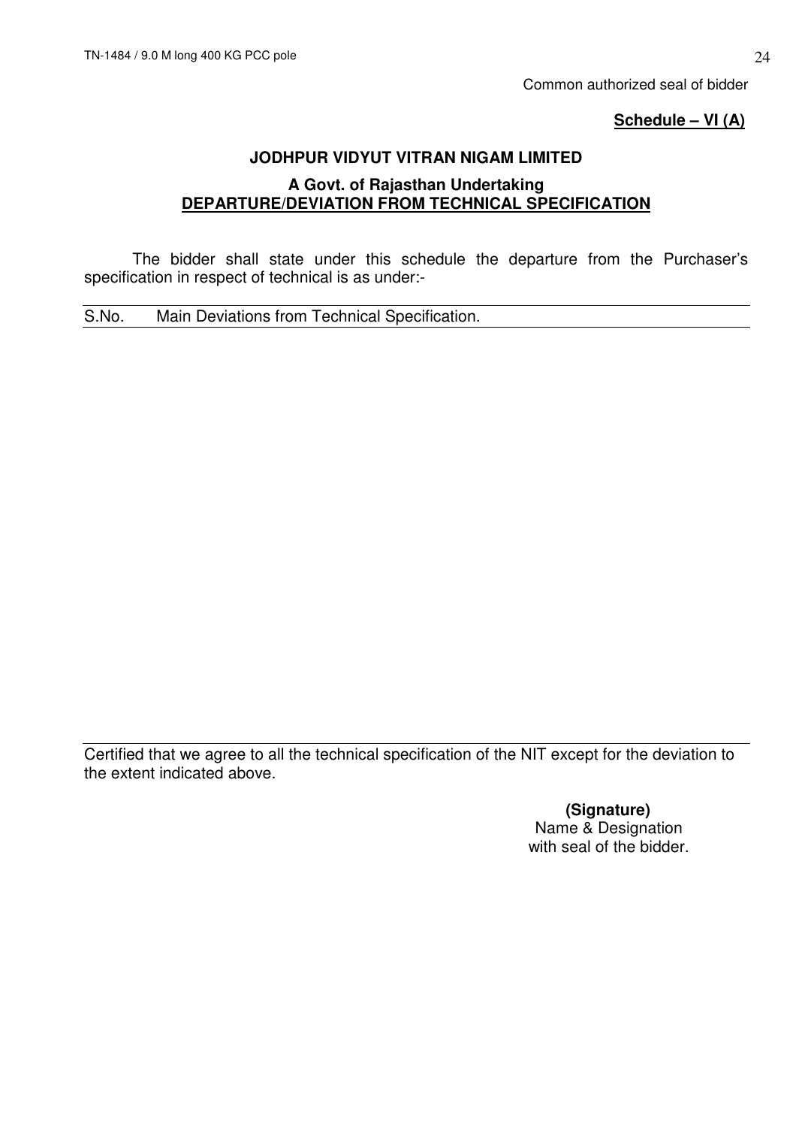Common authorized seal of bidder

## **Schedule – VI (A)**

## **JODHPUR VIDYUT VITRAN NIGAM LIMITED**

## **A Govt. of Rajasthan Undertaking DEPARTURE/DEVIATION FROM TECHNICAL SPECIFICATION**

 The bidder shall state under this schedule the departure from the Purchaser's specification in respect of technical is as under:-

S.No. Main Deviations from Technical Specification.

Certified that we agree to all the technical specification of the NIT except for the deviation to the extent indicated above.

> **(Signature)**  Name & Designation with seal of the bidder.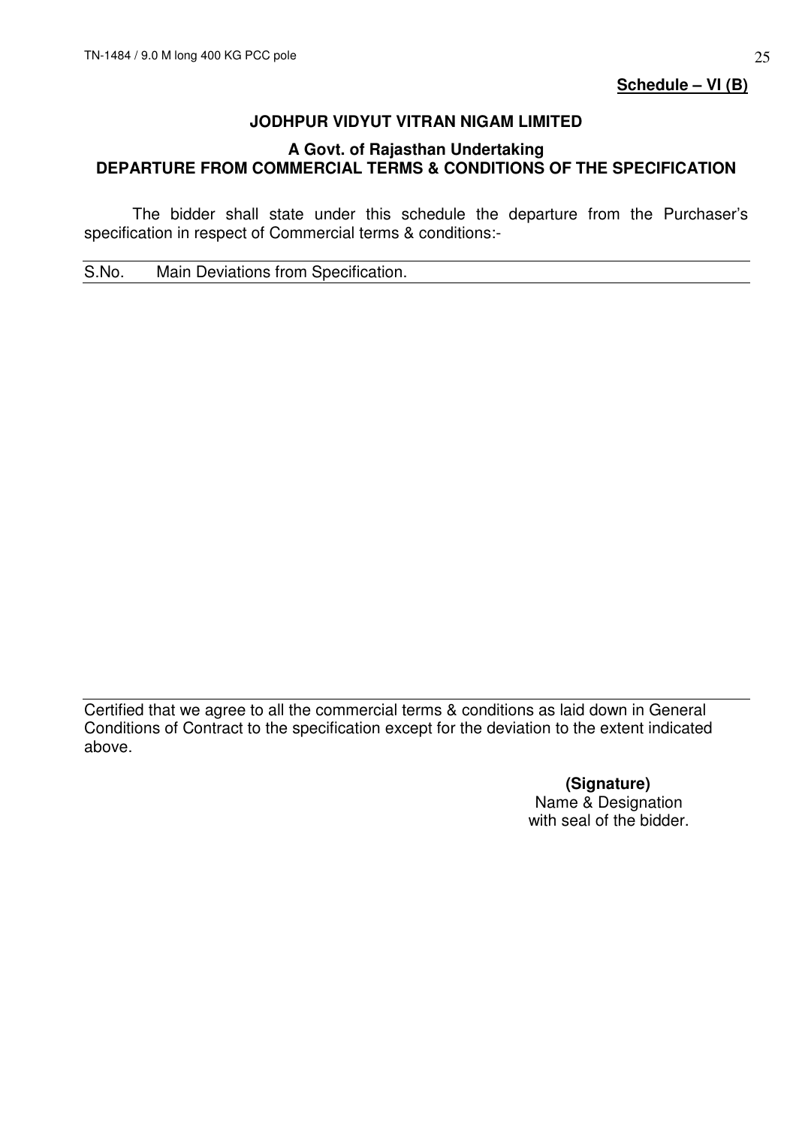**Schedule – VI (B)**

## **JODHPUR VIDYUT VITRAN NIGAM LIMITED**

## **A Govt. of Rajasthan Undertaking DEPARTURE FROM COMMERCIAL TERMS & CONDITIONS OF THE SPECIFICATION**

 The bidder shall state under this schedule the departure from the Purchaser's specification in respect of Commercial terms & conditions:-

S.No. Main Deviations from Specification.

Certified that we agree to all the commercial terms & conditions as laid down in General Conditions of Contract to the specification except for the deviation to the extent indicated above.

> **(Signature)**  Name & Designation with seal of the bidder.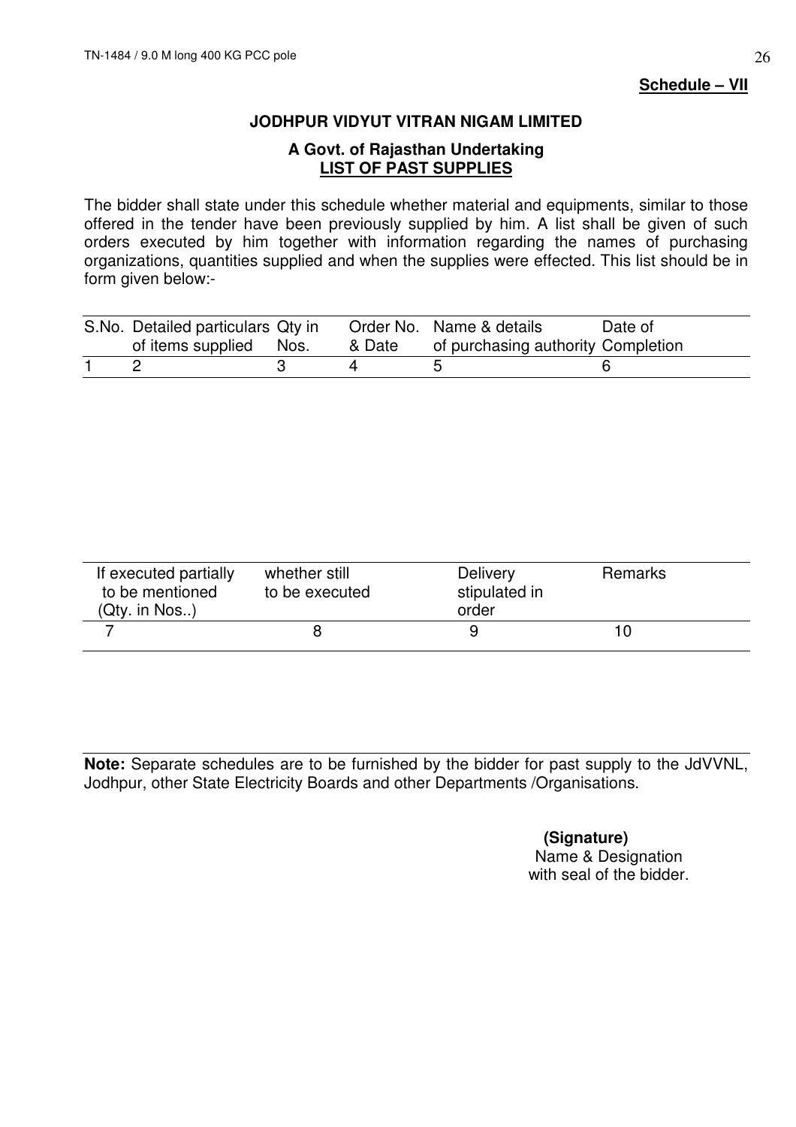### **JODHPUR VIDYUT VITRAN NIGAM LIMITED**

## **A Govt. of Rajasthan Undertaking LIST OF PAST SUPPLIES**

The bidder shall state under this schedule whether material and equipments, similar to those offered in the tender have been previously supplied by him. A list shall be given of such orders executed by him together with information regarding the names of purchasing organizations, quantities supplied and when the supplies were effected. This list should be in form given below:-

| S.No. Detailed particulars Qty in |        | Order No. Name & details           | Date of |
|-----------------------------------|--------|------------------------------------|---------|
| of items supplied Nos.            | & Date | of purchasing authority Completion |         |
|                                   |        |                                    |         |

| If executed partially<br>to be mentioned<br>(Qty. in Nos.) | whether still<br>to be executed | <b>Delivery</b><br>stipulated in<br>order | <b>Remarks</b> |  |
|------------------------------------------------------------|---------------------------------|-------------------------------------------|----------------|--|
|                                                            |                                 |                                           | 10             |  |

**Note:** Separate schedules are to be furnished by the bidder for past supply to the JdVVNL, Jodhpur, other State Electricity Boards and other Departments /Organisations.

> **(Signature)**  Name & Designation with seal of the bidder.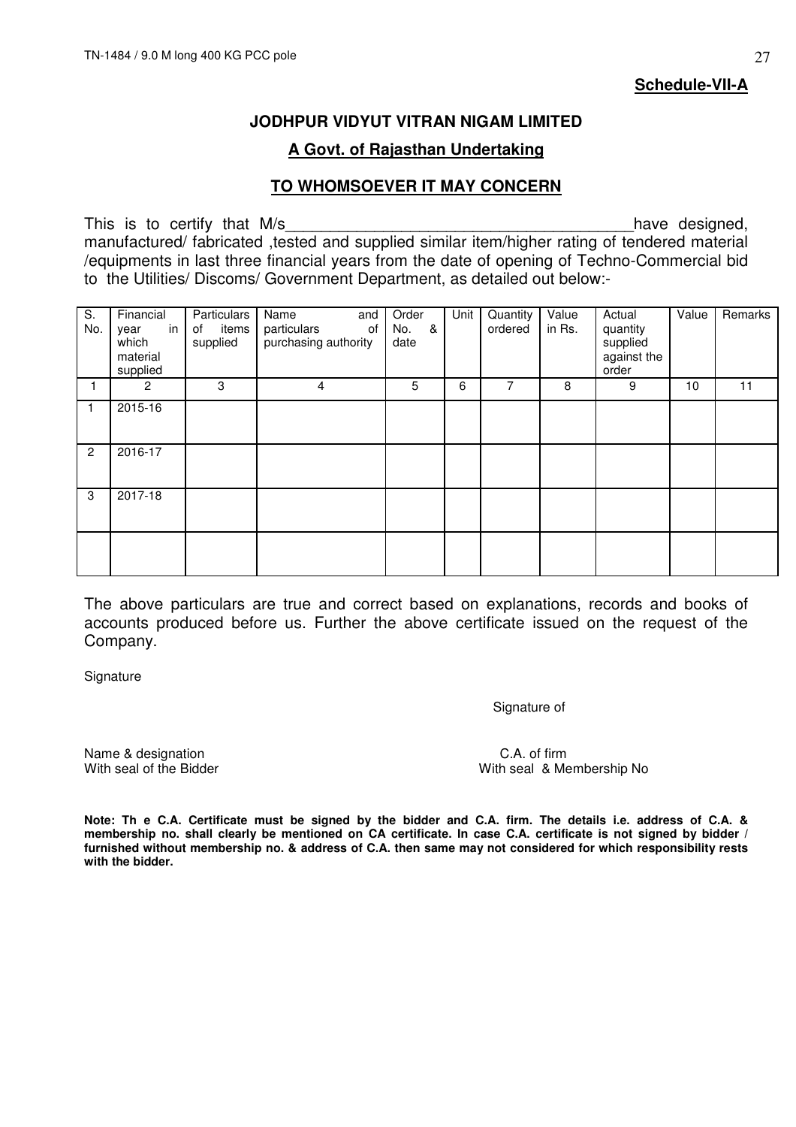**Schedule-VII-A**

### **JODHPUR VIDYUT VITRAN NIGAM LIMITED**

## **A Govt. of Rajasthan Undertaking**

### **TO WHOMSOEVER IT MAY CONCERN**

This is to certify that M/s and the set of the set of the set of the set of the set of the set of the set of the set of the set of the set of the set of the set of the set of the set of the set of the set of the set of the manufactured/ fabricated ,tested and supplied similar item/higher rating of tendered material /equipments in last three financial years from the date of opening of Techno-Commercial bid to the Utilities/ Discoms/ Government Department, as detailed out below:-

| S.<br>No.      | Financial<br>in<br>year<br>which<br>material<br>supplied | Particulars<br>of<br>items<br>supplied | Name<br>and<br>particulars<br>of<br>purchasing authority | Order<br>&<br>No.<br>date | Unit | Quantity<br>ordered | Value<br>in Rs. | Actual<br>quantity<br>supplied<br>against the<br>order | Value | Remarks |
|----------------|----------------------------------------------------------|----------------------------------------|----------------------------------------------------------|---------------------------|------|---------------------|-----------------|--------------------------------------------------------|-------|---------|
|                | $\overline{2}$                                           | 3                                      | 4                                                        | 5                         | 6    | 7                   | 8               | 9                                                      | 10    | 11      |
| $\mathbf{1}$   | 2015-16                                                  |                                        |                                                          |                           |      |                     |                 |                                                        |       |         |
| $\overline{2}$ | 2016-17                                                  |                                        |                                                          |                           |      |                     |                 |                                                        |       |         |
| 3              | 2017-18                                                  |                                        |                                                          |                           |      |                     |                 |                                                        |       |         |
|                |                                                          |                                        |                                                          |                           |      |                     |                 |                                                        |       |         |

The above particulars are true and correct based on explanations, records and books of accounts produced before us. Further the above certificate issued on the request of the Company.

**Signature** 

Signature of

Name & designation C.A. of firm<br>
With seal of the Bidder With seal & Me

With seal & Membership No

**Note: Th e C.A. Certificate must be signed by the bidder and C.A. firm. The details i.e. address of C.A. & membership no. shall clearly be mentioned on CA certificate. In case C.A. certificate is not signed by bidder / furnished without membership no. & address of C.A. then same may not considered for which responsibility rests with the bidder.**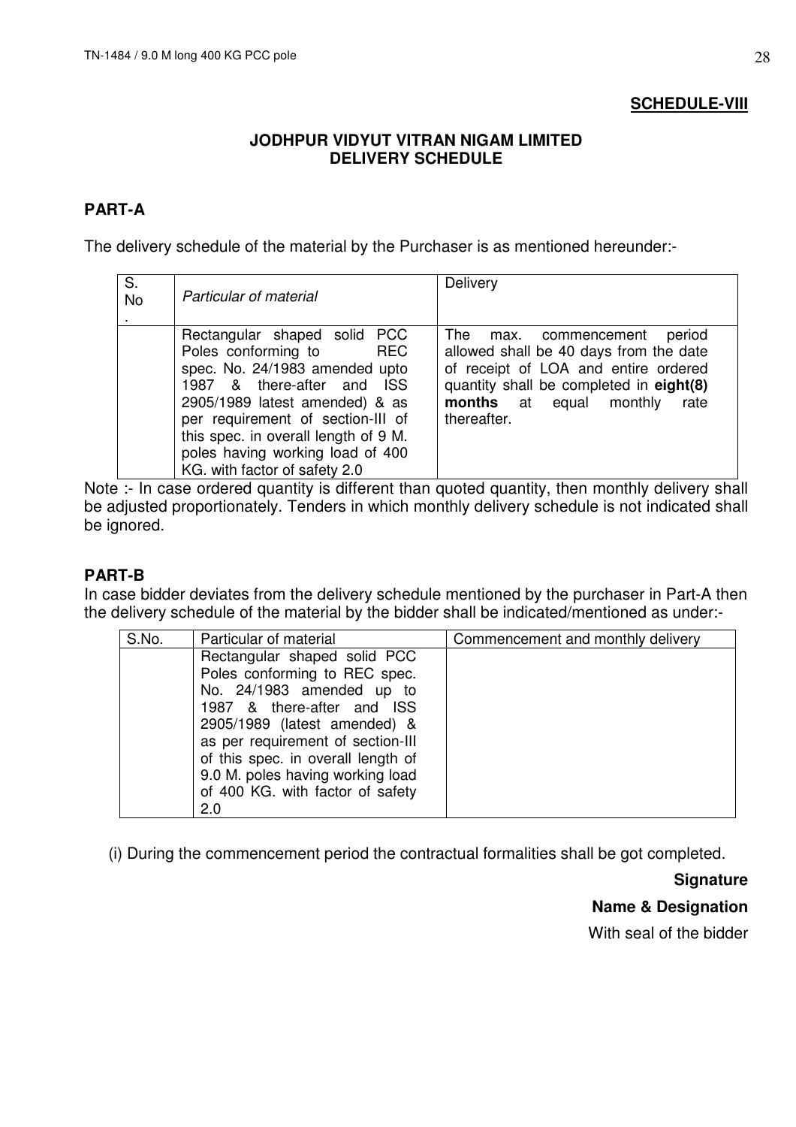## **SCHEDULE-VIII**

## **JODHPUR VIDYUT VITRAN NIGAM LIMITED DELIVERY SCHEDULE**

## **PART-A**

The delivery schedule of the material by the Purchaser is as mentioned hereunder:-

| S.<br><b>No</b> | <b>Particular of material</b>                                                                                                                                                                                                                                                                               | Delivery                                                                                                                                                                                                          |
|-----------------|-------------------------------------------------------------------------------------------------------------------------------------------------------------------------------------------------------------------------------------------------------------------------------------------------------------|-------------------------------------------------------------------------------------------------------------------------------------------------------------------------------------------------------------------|
|                 | Rectangular shaped solid PCC<br>Poles conforming to REC<br>spec. No. 24/1983 amended upto<br>1987 & there-after and ISS<br>2905/1989 latest amended) & as<br>per requirement of section-III of<br>this spec. in overall length of 9 M.<br>poles having working load of 400<br>KG. with factor of safety 2.0 | The<br>period<br>max. commencement<br>allowed shall be 40 days from the date<br>of receipt of LOA and entire ordered<br>quantity shall be completed in eight(8)<br>months at equal monthly<br>rate<br>thereafter. |

Note :- In case ordered quantity is different than quoted quantity, then monthly delivery shall be adjusted proportionately. Tenders in which monthly delivery schedule is not indicated shall be ignored.

## **PART-B**

In case bidder deviates from the delivery schedule mentioned by the purchaser in Part-A then the delivery schedule of the material by the bidder shall be indicated/mentioned as under:-

| S.No. | Particular of material                                                                                                                                                                                                                                                                                             | Commencement and monthly delivery |
|-------|--------------------------------------------------------------------------------------------------------------------------------------------------------------------------------------------------------------------------------------------------------------------------------------------------------------------|-----------------------------------|
|       | Rectangular shaped solid PCC<br>Poles conforming to REC spec.<br>No. 24/1983 amended up to<br>1987 & there-after and ISS<br>2905/1989 (latest amended) &<br>as per requirement of section-III<br>of this spec. in overall length of<br>9.0 M. poles having working load<br>of 400 KG. with factor of safety<br>2.0 |                                   |

(i) During the commencement period the contractual formalities shall be got completed.

**Signature** 

**Name & Designation** 

With seal of the bidder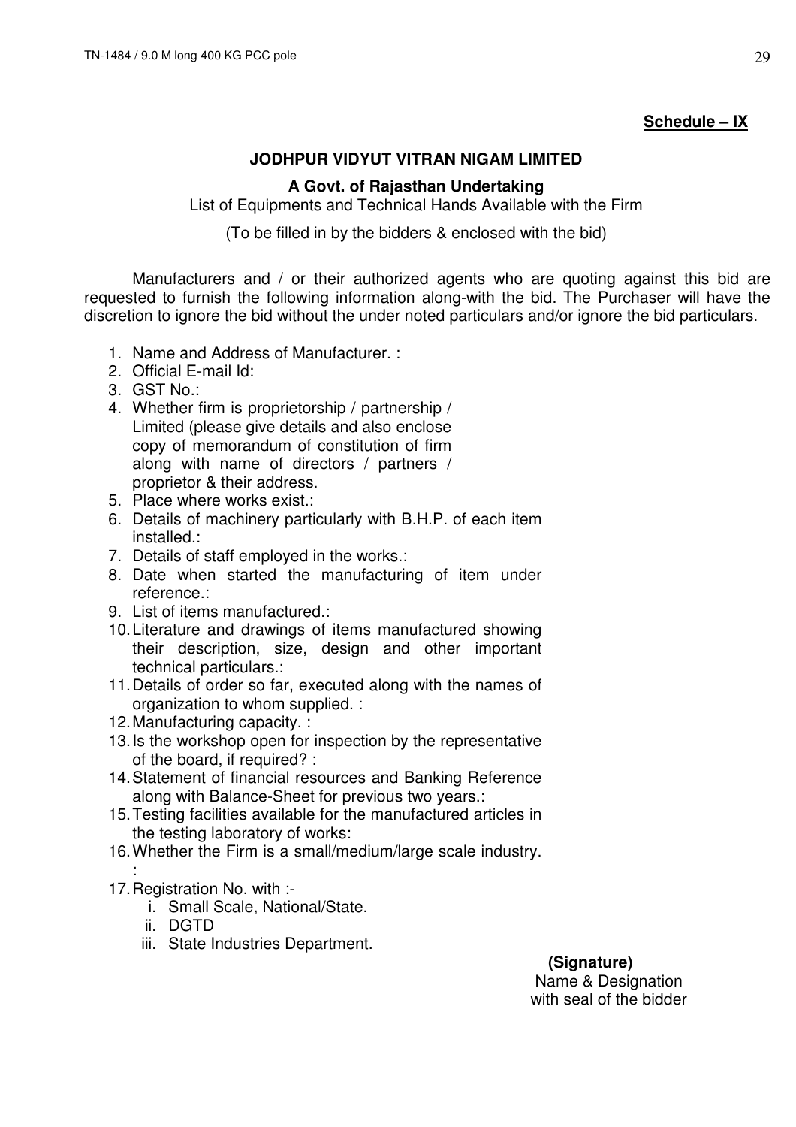## **Schedule – IX**

## **JODHPUR VIDYUT VITRAN NIGAM LIMITED**

### **A Govt. of Rajasthan Undertaking**

List of Equipments and Technical Hands Available with the Firm

(To be filled in by the bidders & enclosed with the bid)

 Manufacturers and / or their authorized agents who are quoting against this bid are requested to furnish the following information along-with the bid. The Purchaser will have the discretion to ignore the bid without the under noted particulars and/or ignore the bid particulars.

- 1. Name and Address of Manufacturer. :
- 2. Official E-mail Id:
- 3. GST No.:
- 4. Whether firm is proprietorship / partnership / Limited (please give details and also enclose copy of memorandum of constitution of firm along with name of directors / partners / proprietor & their address.
- 5. Place where works exist.:
- 6. Details of machinery particularly with B.H.P. of each item installed.:
- 7. Details of staff employed in the works.:
- 8. Date when started the manufacturing of item under reference.:
- 9. List of items manufactured.:
- 10. Literature and drawings of items manufactured showing their description, size, design and other important technical particulars.:
- 11. Details of order so far, executed along with the names of organization to whom supplied. :
- 12. Manufacturing capacity. :
- 13. Is the workshop open for inspection by the representative of the board, if required? :
- 14. Statement of financial resources and Banking Reference along with Balance-Sheet for previous two years.:
- 15. Testing facilities available for the manufactured articles in the testing laboratory of works:
- 16. Whether the Firm is a small/medium/large scale industry. :
- 17. Registration No. with :
	- i. Small Scale, National/State.
	- ii. DGTD
	- iii. State Industries Department.

 **(Signature)**  Name & Designation with seal of the bidder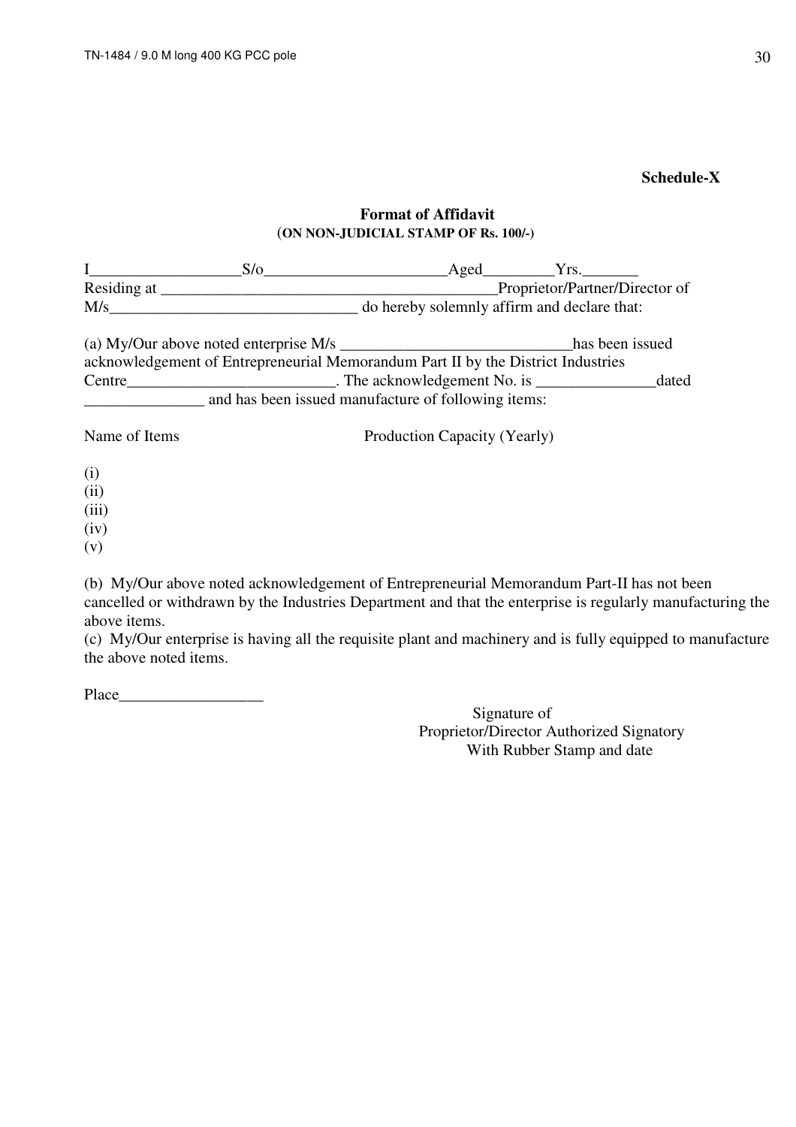## **Schedule-X**

### **Format of Affidavit**  (**ON NON-JUDICIAL STAMP OF Rs. 100/-)**

|                    | S/O                                                                              | Aged                         | Yrs.                                        |       |
|--------------------|----------------------------------------------------------------------------------|------------------------------|---------------------------------------------|-------|
| Residing at ______ |                                                                                  |                              | Proprietor/Partner/Director of              |       |
| M/s                |                                                                                  |                              | do hereby solemnly affirm and declare that: |       |
|                    | (a) My/Our above noted enterprise M/s $\frac{1}{2}$                              |                              | has been issued                             |       |
|                    | acknowledgement of Entrepreneurial Memorandum Part II by the District Industries |                              |                                             |       |
| Centre             | $\blacksquare$ The acknowledgement No. is $\blacksquare$                         |                              |                                             | dated |
|                    | and has been issued manufacture of following items:                              |                              |                                             |       |
| Name of Items      |                                                                                  | Production Capacity (Yearly) |                                             |       |

- (i)
- (ii)
- (iii)
- (iv)
- (v)

(b) My/Our above noted acknowledgement of Entrepreneurial Memorandum Part-II has not been cancelled or withdrawn by the Industries Department and that the enterprise is regularly manufacturing the above items.

(c) My/Our enterprise is having all the requisite plant and machinery and is fully equipped to manufacture the above noted items.

Place  $\Box$ 

Signature of Proprietor/Director Authorized Signatory With Rubber Stamp and date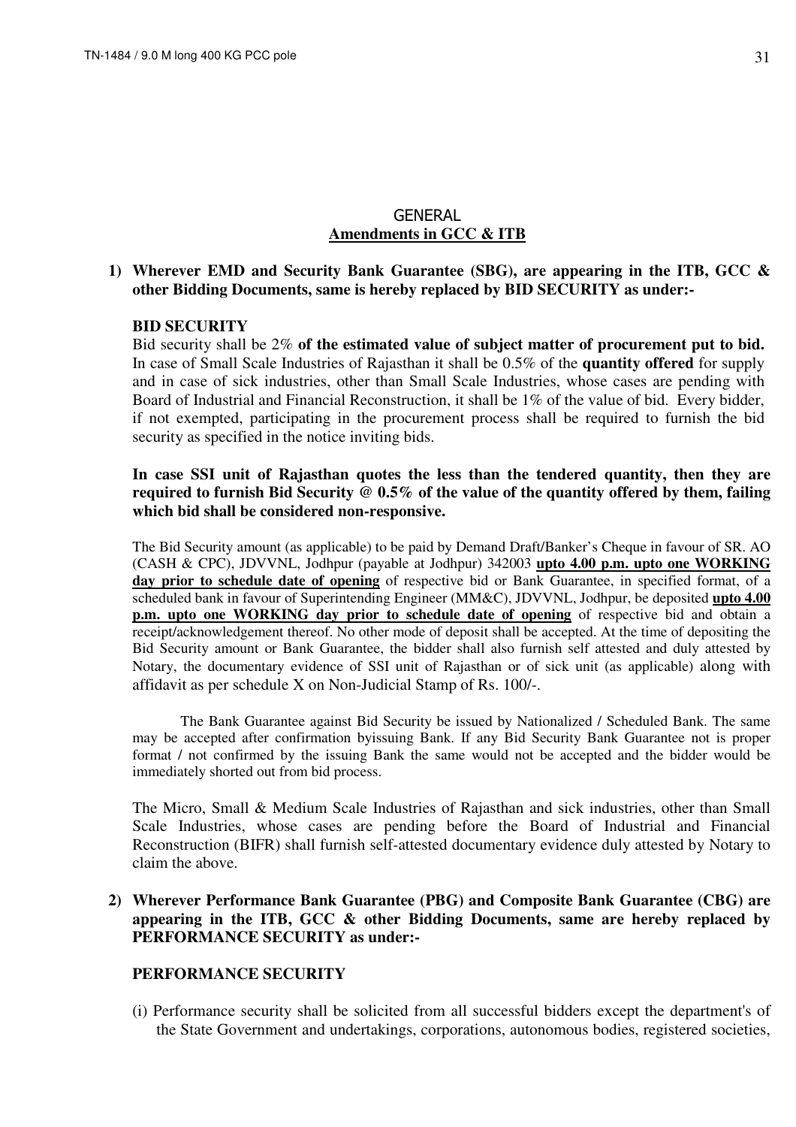### **GENERAL Amendments in GCC & ITB**

### **1) Wherever EMD and Security Bank Guarantee (SBG), are appearing in the ITB, GCC & other Bidding Documents, same is hereby replaced by BID SECURITY as under:-**

#### **BID SECURITY**

Bid security shall be 2% **of the estimated value of subject matter of procurement put to bid.** In case of Small Scale Industries of Rajasthan it shall be 0.5% of the **quantity offered** for supply and in case of sick industries, other than Small Scale Industries, whose cases are pending with Board of Industrial and Financial Reconstruction, it shall be 1% of the value of bid. Every bidder, if not exempted, participating in the procurement process shall be required to furnish the bid security as specified in the notice inviting bids.

### **In case SSI unit of Rajasthan quotes the less than the tendered quantity, then they are required to furnish Bid Security @ 0.5% of the value of the quantity offered by them, failing which bid shall be considered non-responsive.**

The Bid Security amount (as applicable) to be paid by Demand Draft/Banker's Cheque in favour of SR. AO (CASH & CPC), JDVVNL, Jodhpur (payable at Jodhpur) 342003 **upto 4.00 p.m. upto one WORKING day prior to schedule date of opening** of respective bid or Bank Guarantee, in specified format, of a scheduled bank in favour of Superintending Engineer (MM&C), JDVVNL, Jodhpur, be deposited **upto 4.00 p.m. upto one WORKING day prior to schedule date of opening** of respective bid and obtain a receipt/acknowledgement thereof. No other mode of deposit shall be accepted. At the time of depositing the Bid Security amount or Bank Guarantee, the bidder shall also furnish self attested and duly attested by Notary, the documentary evidence of SSI unit of Rajasthan or of sick unit (as applicable) along with affidavit as per schedule X on Non-Judicial Stamp of Rs. 100/-.

The Bank Guarantee against Bid Security be issued by Nationalized / Scheduled Bank. The same may be accepted after confirmation byissuing Bank. If any Bid Security Bank Guarantee not is proper format / not confirmed by the issuing Bank the same would not be accepted and the bidder would be immediately shorted out from bid process.

The Micro, Small & Medium Scale Industries of Rajasthan and sick industries, other than Small Scale Industries, whose cases are pending before the Board of Industrial and Financial Reconstruction (BIFR) shall furnish self-attested documentary evidence duly attested by Notary to claim the above.

### **2) Wherever Performance Bank Guarantee (PBG) and Composite Bank Guarantee (CBG) are appearing in the ITB, GCC & other Bidding Documents, same are hereby replaced by PERFORMANCE SECURITY as under:-**

#### **PERFORMANCE SECURITY**

(i) Performance security shall be solicited from all successful bidders except the department's of the State Government and undertakings, corporations, autonomous bodies, registered societies,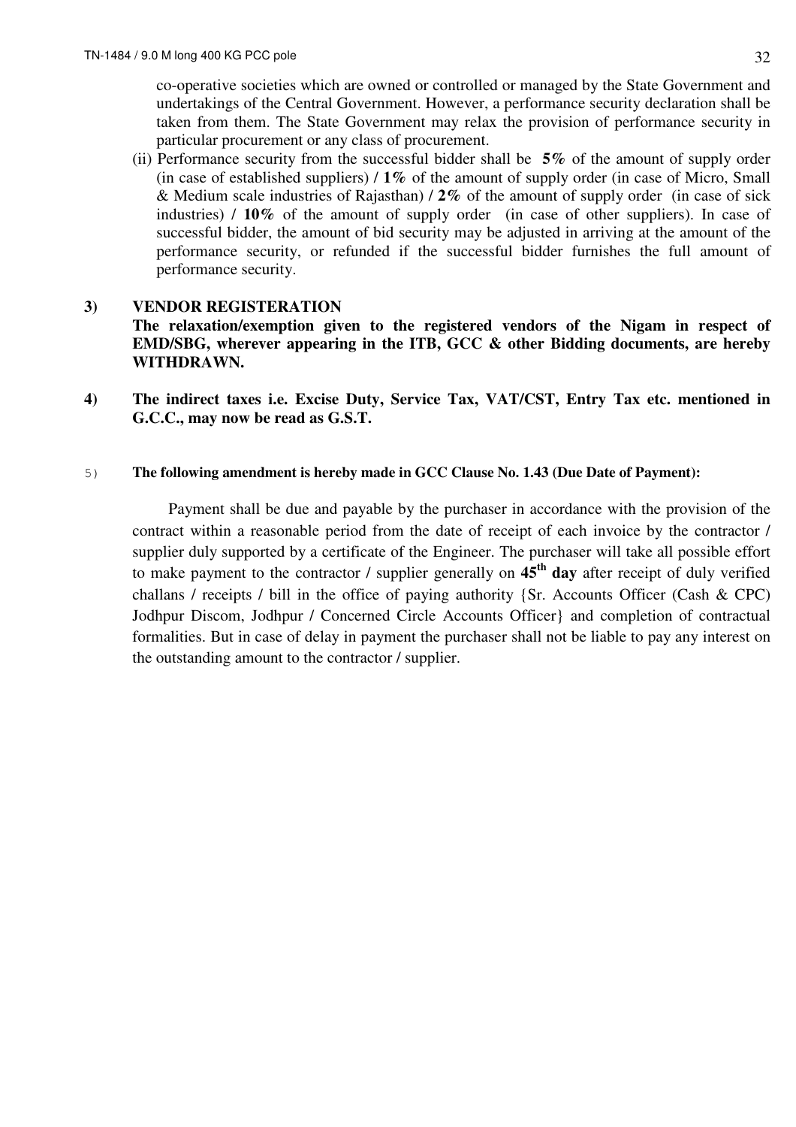co-operative societies which are owned or controlled or managed by the State Government and undertakings of the Central Government. However, a performance security declaration shall be taken from them. The State Government may relax the provision of performance security in particular procurement or any class of procurement.

(ii) Performance security from the successful bidder shall be **5%** of the amount of supply order (in case of established suppliers) / **1%** of the amount of supply order (in case of Micro, Small & Medium scale industries of Rajasthan) / **2%** of the amount of supply order (in case of sick industries) / **10%** of the amount of supply order (in case of other suppliers). In case of successful bidder, the amount of bid security may be adjusted in arriving at the amount of the performance security, or refunded if the successful bidder furnishes the full amount of performance security.

### **3) VENDOR REGISTERATION**

**The relaxation/exemption given to the registered vendors of the Nigam in respect of EMD/SBG, wherever appearing in the ITB, GCC & other Bidding documents, are hereby WITHDRAWN.** 

**4) The indirect taxes i.e. Excise Duty, Service Tax, VAT/CST, Entry Tax etc. mentioned in G.C.C., may now be read as G.S.T.** 

#### 5) **The following amendment is hereby made in GCC Clause No. 1.43 (Due Date of Payment):**

 Payment shall be due and payable by the purchaser in accordance with the provision of the contract within a reasonable period from the date of receipt of each invoice by the contractor / supplier duly supported by a certificate of the Engineer. The purchaser will take all possible effort to make payment to the contractor / supplier generally on **45th day** after receipt of duly verified challans / receipts / bill in the office of paying authority {Sr. Accounts Officer (Cash & CPC) Jodhpur Discom, Jodhpur / Concerned Circle Accounts Officer} and completion of contractual formalities. But in case of delay in payment the purchaser shall not be liable to pay any interest on the outstanding amount to the contractor / supplier.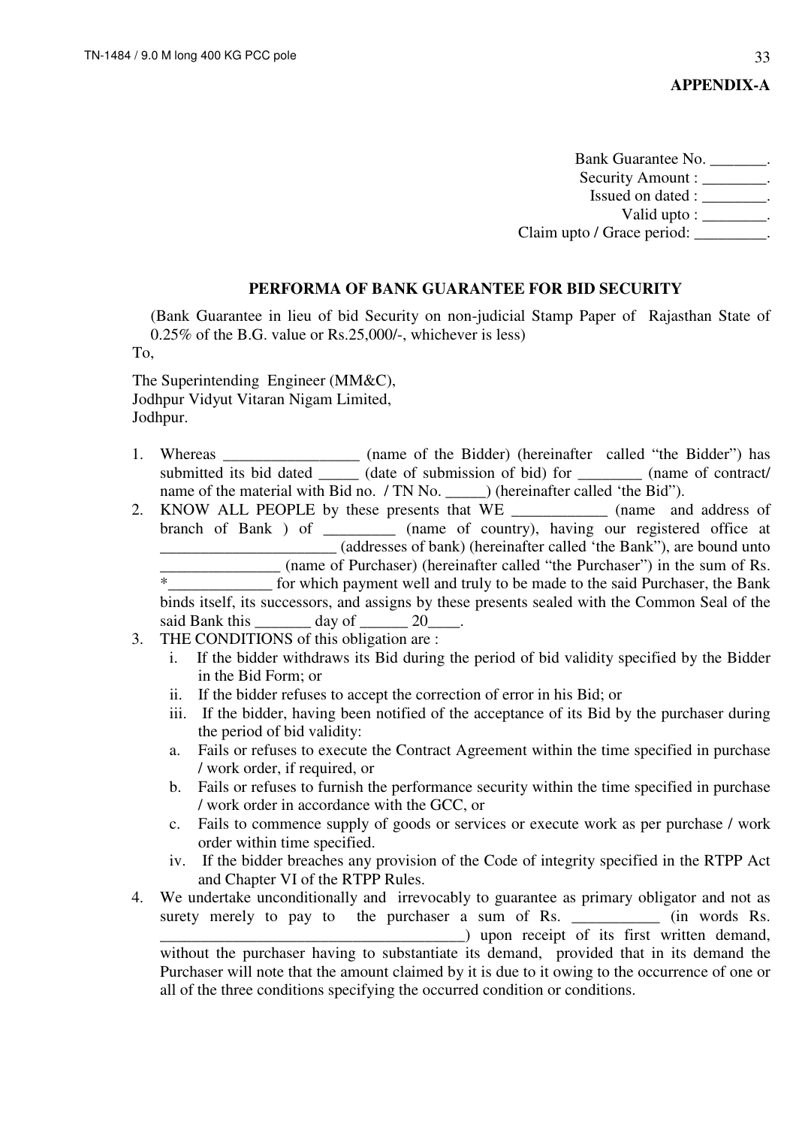Bank Guarantee No. \_\_\_\_\_\_\_. Security Amount : \_\_\_\_\_\_\_\_. Issued on dated :  $\qquad \qquad$ Valid upto :  $\qquad \qquad$ . Claim upto / Grace period: \_\_\_\_\_\_\_\_\_.

#### **PERFORMA OF BANK GUARANTEE FOR BID SECURITY**

(Bank Guarantee in lieu of bid Security on non-judicial Stamp Paper of Rajasthan State of 0.25% of the B.G. value or Rs.25,000/-, whichever is less)

To,

The Superintending Engineer (MM&C), Jodhpur Vidyut Vitaran Nigam Limited, Jodhpur.

- 1. Whereas \_\_\_\_\_\_\_\_\_\_\_\_\_\_\_\_\_ (name of the Bidder) (hereinafter called "the Bidder") has submitted its bid dated \_\_\_\_\_\_ (date of submission of bid) for \_\_\_\_\_\_\_\_\_ (name of contract/ name of the material with Bid no. / TN No. ) (hereinafter called 'the Bid'').
- 2. KNOW ALL PEOPLE by these presents that WE and address of branch of Bank ) of \_\_\_\_\_\_\_\_\_ (name of country), having our registered office at \_\_\_\_\_\_\_\_\_\_\_\_\_\_\_\_\_\_\_\_\_\_ (addresses of bank) (hereinafter called 'the Bank"), are bound unto (name of Purchaser) (hereinafter called "the Purchaser") in the sum of Rs. \*\_\_\_\_\_\_\_\_\_\_\_\_\_ for which payment well and truly to be made to the said Purchaser, the Bank binds itself, its successors, and assigns by these presents sealed with the Common Seal of the said Bank this \_\_\_\_\_\_\_\_\_ day of \_\_\_\_\_\_\_ 20\_\_\_
- 3. THE CONDITIONS of this obligation are :
	- i. If the bidder withdraws its Bid during the period of bid validity specified by the Bidder in the Bid Form; or
	- ii. If the bidder refuses to accept the correction of error in his Bid; or
	- iii. If the bidder, having been notified of the acceptance of its Bid by the purchaser during the period of bid validity:
	- a. Fails or refuses to execute the Contract Agreement within the time specified in purchase / work order, if required, or
	- b. Fails or refuses to furnish the performance security within the time specified in purchase / work order in accordance with the GCC, or
	- c. Fails to commence supply of goods or services or execute work as per purchase / work order within time specified.
	- iv. If the bidder breaches any provision of the Code of integrity specified in the RTPP Act and Chapter VI of the RTPP Rules.
- 4. We undertake unconditionally and irrevocably to guarantee as primary obligator and not as surety merely to pay to the purchaser a sum of Rs.  $\qquad$  (in words Rs. \_\_\_\_\_\_\_\_\_\_\_\_\_\_\_\_\_\_\_\_\_\_\_\_\_\_\_\_\_\_\_\_\_\_\_\_\_\_) upon receipt of its first written demand, without the purchaser having to substantiate its demand, provided that in its demand the

Purchaser will note that the amount claimed by it is due to it owing to the occurrence of one or all of the three conditions specifying the occurred condition or conditions.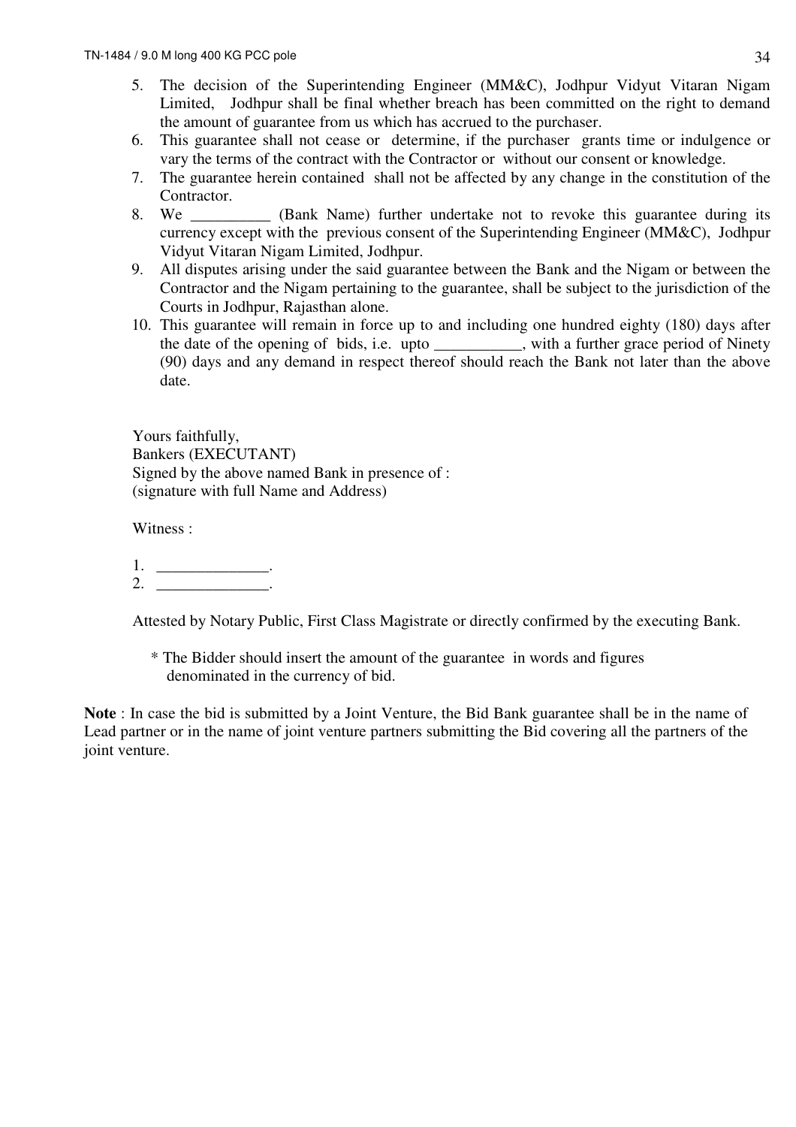- 5. The decision of the Superintending Engineer (MM&C), Jodhpur Vidyut Vitaran Nigam Limited, Jodhpur shall be final whether breach has been committed on the right to demand the amount of guarantee from us which has accrued to the purchaser.
- 6. This guarantee shall not cease or determine, if the purchaser grants time or indulgence or vary the terms of the contract with the Contractor or without our consent or knowledge.
- 7. The guarantee herein contained shall not be affected by any change in the constitution of the Contractor.
- 8. We (Bank Name) further undertake not to revoke this guarantee during its currency except with the previous consent of the Superintending Engineer (MM&C), Jodhpur Vidyut Vitaran Nigam Limited, Jodhpur.
- 9. All disputes arising under the said guarantee between the Bank and the Nigam or between the Contractor and the Nigam pertaining to the guarantee, shall be subject to the jurisdiction of the Courts in Jodhpur, Rajasthan alone.
- 10. This guarantee will remain in force up to and including one hundred eighty (180) days after the date of the opening of bids, i.e. upto \_\_\_\_\_\_\_\_\_\_\_, with a further grace period of Ninety (90) days and any demand in respect thereof should reach the Bank not later than the above date.

Yours faithfully, Bankers (EXECUTANT) Signed by the above named Bank in presence of : (signature with full Name and Address)

Witness :

 $1.$   $\qquad \qquad$  .  $2.$ 

Attested by Notary Public, First Class Magistrate or directly confirmed by the executing Bank.

\* The Bidder should insert the amount of the guarantee in words and figures denominated in the currency of bid.

**Note** : In case the bid is submitted by a Joint Venture, the Bid Bank guarantee shall be in the name of Lead partner or in the name of joint venture partners submitting the Bid covering all the partners of the joint venture.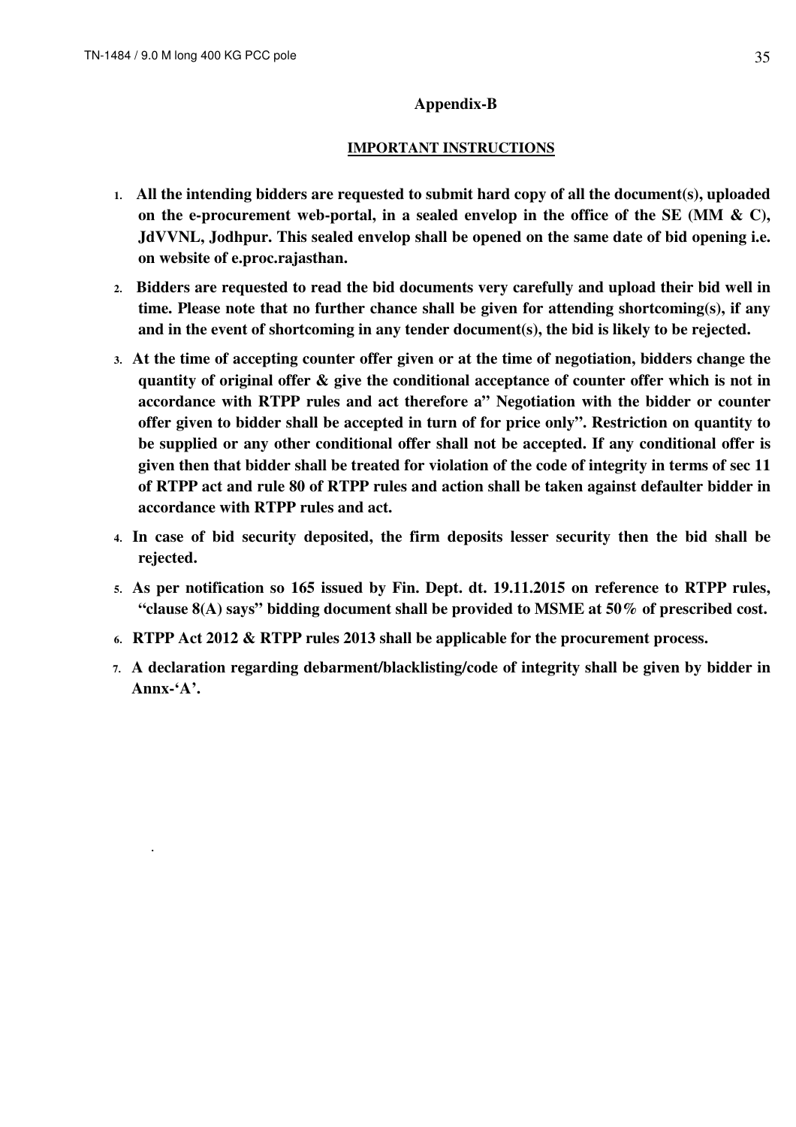.

#### **Appendix-B**

#### **IMPORTANT INSTRUCTIONS**

- **1. All the intending bidders are requested to submit hard copy of all the document(s), uploaded on the e-procurement web-portal, in a sealed envelop in the office of the SE (MM & C), JdVVNL, Jodhpur. This sealed envelop shall be opened on the same date of bid opening i.e. on website of e.proc.rajasthan.**
- **2. Bidders are requested to read the bid documents very carefully and upload their bid well in time. Please note that no further chance shall be given for attending shortcoming(s), if any and in the event of shortcoming in any tender document(s), the bid is likely to be rejected.**
- **3. At the time of accepting counter offer given or at the time of negotiation, bidders change the quantity of original offer & give the conditional acceptance of counter offer which is not in accordance with RTPP rules and act therefore a" Negotiation with the bidder or counter offer given to bidder shall be accepted in turn of for price only". Restriction on quantity to be supplied or any other conditional offer shall not be accepted. If any conditional offer is given then that bidder shall be treated for violation of the code of integrity in terms of sec 11 of RTPP act and rule 80 of RTPP rules and action shall be taken against defaulter bidder in accordance with RTPP rules and act.**
- **4. In case of bid security deposited, the firm deposits lesser security then the bid shall be rejected.**
- **5. As per notification so 165 issued by Fin. Dept. dt. 19.11.2015 on reference to RTPP rules, "clause 8(A) says" bidding document shall be provided to MSME at 50% of prescribed cost.**
- **6. RTPP Act 2012 & RTPP rules 2013 shall be applicable for the procurement process.**
- **7. A declaration regarding debarment/blacklisting/code of integrity shall be given by bidder in Annx-'A'.**